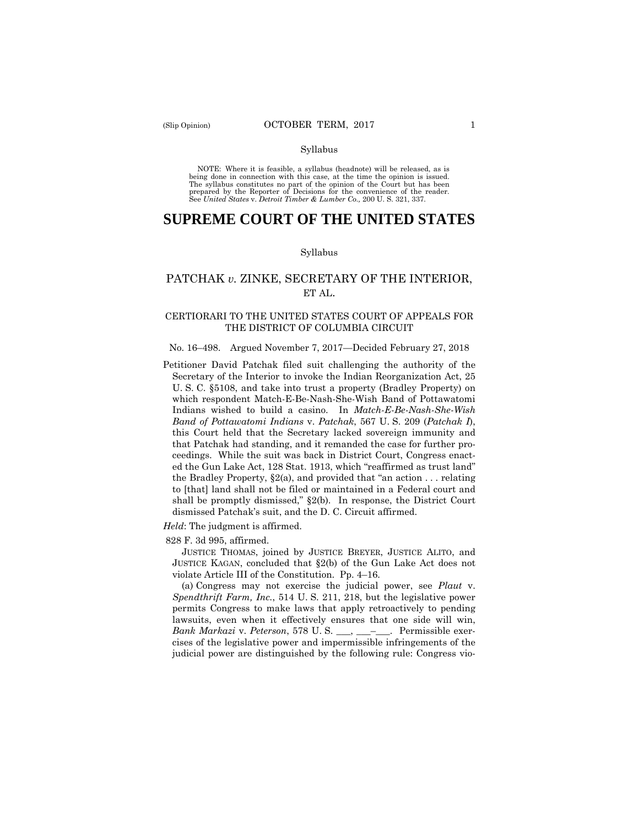# Syllabus

 NOTE: Where it is feasible, a syllabus (headnote) will be released, as is being done in connection with this case, at the time the opinion is issued. The syllabus constitutes no part of the opinion of the Court but has been<br>prepared by the Reporter of Decisions for the convenience of the reader.<br>See United States v. Detroit Timber & Lumber Co., 200 U.S. 321, 337.

# **SUPREME COURT OF THE UNITED STATES**

# Syllabus

# PATCHAK *v.* ZINKE, SECRETARY OF THE INTERIOR, ET AL.

# CERTIORARI TO THE UNITED STATES COURT OF APPEALS FOR THE DISTRICT OF COLUMBIA CIRCUIT

# No. 16–498. Argued November 7, 2017—Decided February 27, 2018

Petitioner David Patchak filed suit challenging the authority of the Secretary of the Interior to invoke the Indian Reorganization Act, 25 U. S. C. §5108, and take into trust a property (Bradley Property) on which respondent Match-E-Be-Nash-She-Wish Band of Pottawatomi Indians wished to build a casino. In *Match-E-Be-Nash-She-Wish Band of Pottawatomi Indians* v. *Patchak*, 567 U. S. 209 (*Patchak I*), this Court held that the Secretary lacked sovereign immunity and that Patchak had standing, and it remanded the case for further proceedings. While the suit was back in District Court, Congress enacted the Gun Lake Act, 128 Stat. 1913, which "reaffirmed as trust land" the Bradley Property,  $\S2(a)$ , and provided that "an action ... relating to [that] land shall not be filed or maintained in a Federal court and shall be promptly dismissed," §2(b). In response, the District Court dismissed Patchak's suit, and the D. C. Circuit affirmed.

*Held*: The judgment is affirmed.

828 F. 3d 995, affirmed.

JUSTICE THOMAS, joined by JUSTICE BREYER, JUSTICE ALITO, and JUSTICE KAGAN, concluded that §2(b) of the Gun Lake Act does not violate Article III of the Constitution. Pp. 4–16.

(a) Congress may not exercise the judicial power, see *Plaut* v. *Spendthrift Farm, Inc.*, 514 U. S. 211, 218, but the legislative power permits Congress to make laws that apply retroactively to pending lawsuits, even when it effectively ensures that one side will win, *Bank Markazi* v. *Peterson*, 578 U. S. \_\_\_, \_\_\_–\_\_\_. Permissible exercises of the legislative power and impermissible infringements of the judicial power are distinguished by the following rule: Congress vio-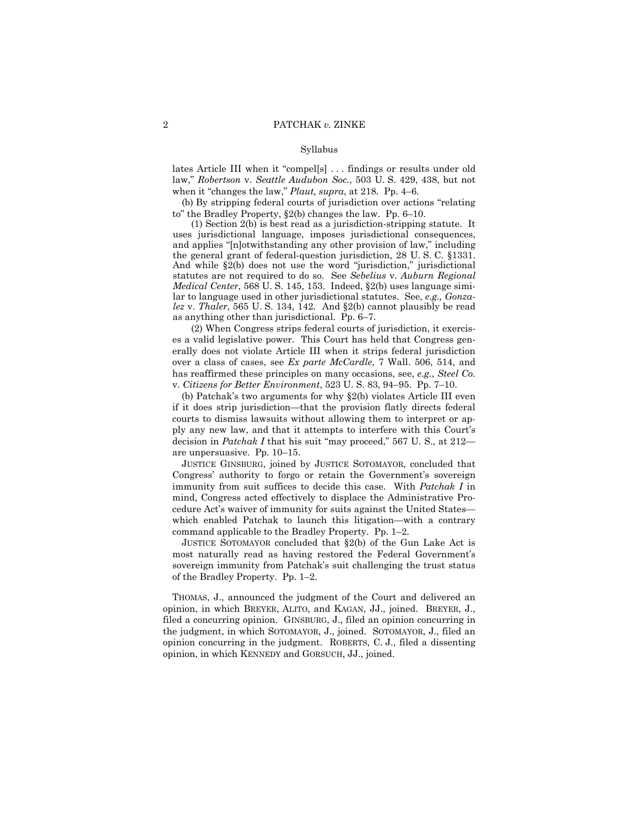# Syllabus

lates Article III when it "compel[s] . . . findings or results under old law," *Robertson* v. *Seattle Audubon Soc.*, 503 U. S. 429, 438, but not when it "changes the law," *Plaut, supra*, at 218. Pp. 4–6.

(b) By stripping federal courts of jurisdiction over actions "relating to" the Bradley Property, §2(b) changes the law. Pp. 6–10.

(1) Section 2(b) is best read as a jurisdiction-stripping statute. It uses jurisdictional language, imposes jurisdictional consequences, and applies "[n]otwithstanding any other provision of law," including the general grant of federal-question jurisdiction, 28 U. S. C. §1331. And while §2(b) does not use the word "jurisdiction," jurisdictional statutes are not required to do so. See *Sebelius* v. *Auburn Regional Medical Center*, 568 U. S. 145, 153. Indeed, §2(b) uses language similar to language used in other jurisdictional statutes. See, *e.g., Gonzalez* v. *Thaler*, 565 U. S. 134, 142. And §2(b) cannot plausibly be read as anything other than jurisdictional. Pp. 6–7.

(2) When Congress strips federal courts of jurisdiction, it exercises a valid legislative power. This Court has held that Congress generally does not violate Article III when it strips federal jurisdiction over a class of cases, see *Ex parte McCardle*, 7 Wall. 506, 514, and has reaffirmed these principles on many occasions, see, *e.g.*, *Steel Co.*  v. *Citizens for Better Environment*, 523 U. S. 83, 94–95. Pp. 7–10.

(b) Patchak's two arguments for why §2(b) violates Article III even if it does strip jurisdiction—that the provision flatly directs federal courts to dismiss lawsuits without allowing them to interpret or apply any new law, and that it attempts to interfere with this Court's decision in *Patchak I* that his suit "may proceed," 567 U. S., at 212 are unpersuasive. Pp. 10–15.

JUSTICE GINSBURG, joined by JUSTICE SOTOMAYOR, concluded that Congress' authority to forgo or retain the Government's sovereign immunity from suit suffices to decide this case. With *Patchak I* in mind, Congress acted effectively to displace the Administrative Procedure Act's waiver of immunity for suits against the United States which enabled Patchak to launch this litigation—with a contrary command applicable to the Bradley Property. Pp. 1–2.

JUSTICE SOTOMAYOR concluded that §2(b) of the Gun Lake Act is most naturally read as having restored the Federal Government's sovereign immunity from Patchak's suit challenging the trust status of the Bradley Property. Pp. 1–2.

 THOMAS, J., announced the judgment of the Court and delivered an opinion, in which BREYER, ALITO, and KAGAN, JJ., joined. BREYER, J., filed a concurring opinion. GINSBURG, J., filed an opinion concurring in the judgment, in which SOTOMAYOR, J., joined. SOTOMAYOR, J., filed an opinion concurring in the judgment. ROBERTS, C. J., filed a dissenting opinion, in which KENNEDY and GORSUCH, JJ., joined.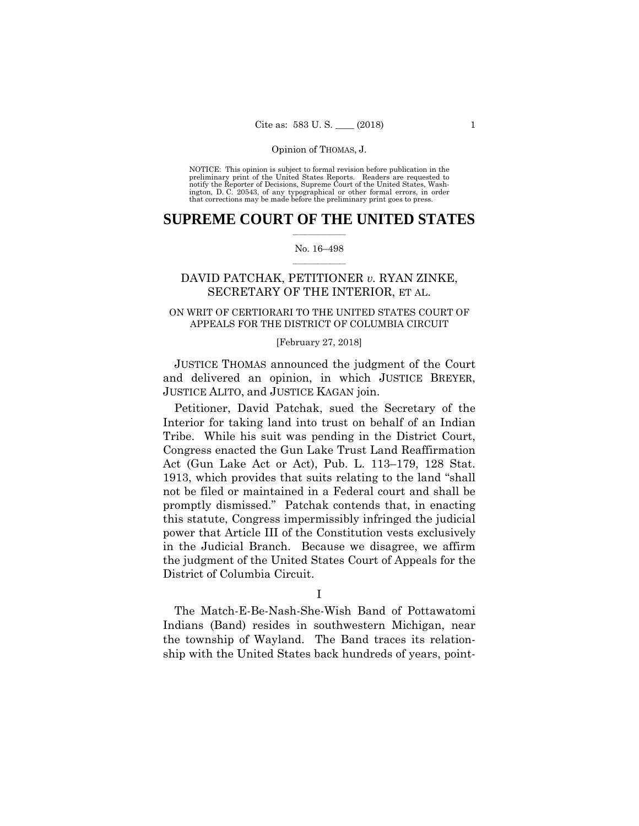preliminary print of the United States Reports. Readers are requested to notify the Reporter of Decisions, Supreme Court of the United States, Wash- ington, D. C. 20543, of any typographical or other formal errors, in order that corrections may be made before the preliminary print goes to press. NOTICE: This opinion is subject to formal revision before publication in the

# $\frac{1}{2}$  ,  $\frac{1}{2}$  ,  $\frac{1}{2}$  ,  $\frac{1}{2}$  ,  $\frac{1}{2}$  ,  $\frac{1}{2}$  ,  $\frac{1}{2}$ **SUPREME COURT OF THE UNITED STATES**

# $\frac{1}{2}$  ,  $\frac{1}{2}$  ,  $\frac{1}{2}$  ,  $\frac{1}{2}$  ,  $\frac{1}{2}$  ,  $\frac{1}{2}$ No. 16–498

# DAVID PATCHAK, PETITIONER *v.* RYAN ZINKE, SECRETARY OF THE INTERIOR, ET AL.

# APPEALS FOR THE DISTRICT OF COLUMBIA CIRCUIT<br>[February 27, 2018] ON WRIT OF CERTIORARI TO THE UNITED STATES COURT OF

 JUSTICE THOMAS announced the judgment of the Court and delivered an opinion, in which JUSTICE BREYER, JUSTICE ALITO, and JUSTICE KAGAN join.

Petitioner, David Patchak, sued the Secretary of the Interior for taking land into trust on behalf of an Indian Tribe. While his suit was pending in the District Court, Congress enacted the Gun Lake Trust Land Reaffirmation Act (Gun Lake Act or Act), Pub. L. 113–179, 128 Stat. 1913, which provides that suits relating to the land "shall not be filed or maintained in a Federal court and shall be promptly dismissed." Patchak contends that, in enacting this statute, Congress impermissibly infringed the judicial power that Article III of the Constitution vests exclusively in the Judicial Branch. Because we disagree, we affirm the judgment of the United States Court of Appeals for the District of Columbia Circuit.

The Match-E-Be-Nash-She-Wish Band of Pottawatomi Indians (Band) resides in southwestern Michigan, near the township of Wayland. The Band traces its relationship with the United States back hundreds of years, point-

I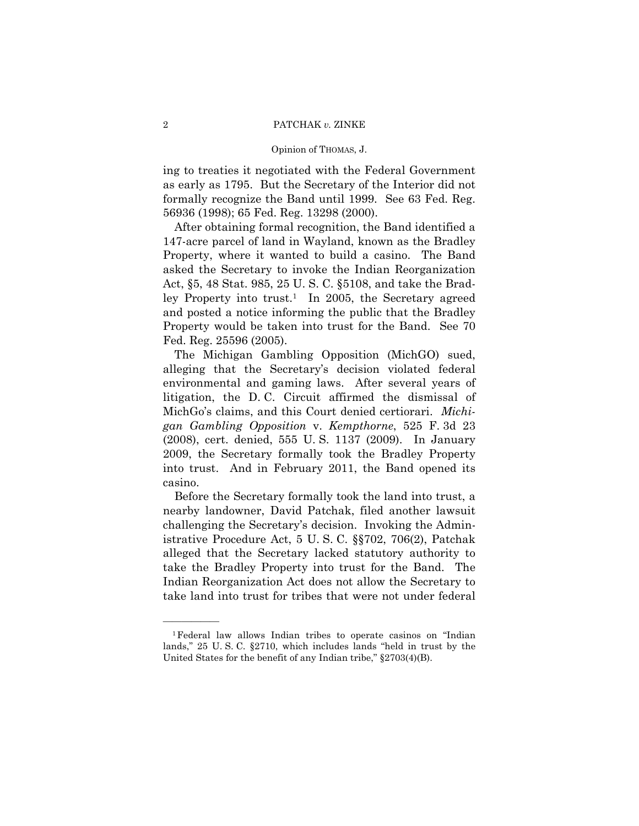ing to treaties it negotiated with the Federal Government as early as 1795. But the Secretary of the Interior did not formally recognize the Band until 1999. See 63 Fed. Reg. 56936 (1998); 65 Fed. Reg. 13298 (2000).

After obtaining formal recognition, the Band identified a 147-acre parcel of land in Wayland, known as the Bradley Property, where it wanted to build a casino. The Band asked the Secretary to invoke the Indian Reorganization Act, §5, 48 Stat. 985, 25 U. S. C. §5108, and take the Bradley Property into trust.<sup>1</sup> In 2005, the Secretary agreed and posted a notice informing the public that the Bradley Property would be taken into trust for the Band. See 70 Fed. Reg. 25596 (2005).

The Michigan Gambling Opposition (MichGO) sued, alleging that the Secretary's decision violated federal environmental and gaming laws. After several years of litigation, the D. C. Circuit affirmed the dismissal of MichGo's claims, and this Court denied certiorari. *Michigan Gambling Opposition* v. *Kempthorne*, 525 F. 3d 23 (2008), cert. denied, 555 U. S. 1137 (2009). In January 2009, the Secretary formally took the Bradley Property into trust. And in February 2011, the Band opened its casino.

 Before the Secretary formally took the land into trust, a Indian Reorganization Act does not allow the Secretary to nearby landowner, David Patchak, filed another lawsuit challenging the Secretary's decision. Invoking the Administrative Procedure Act, 5 U. S. C. §§702, 706(2), Patchak alleged that the Secretary lacked statutory authority to take the Bradley Property into trust for the Band. The take land into trust for tribes that were not under federal

<sup>1</sup>Federal law allows Indian tribes to operate casinos on "Indian lands," 25 U. S. C. §2710, which includes lands "held in trust by the United States for the benefit of any Indian tribe," §2703(4)(B).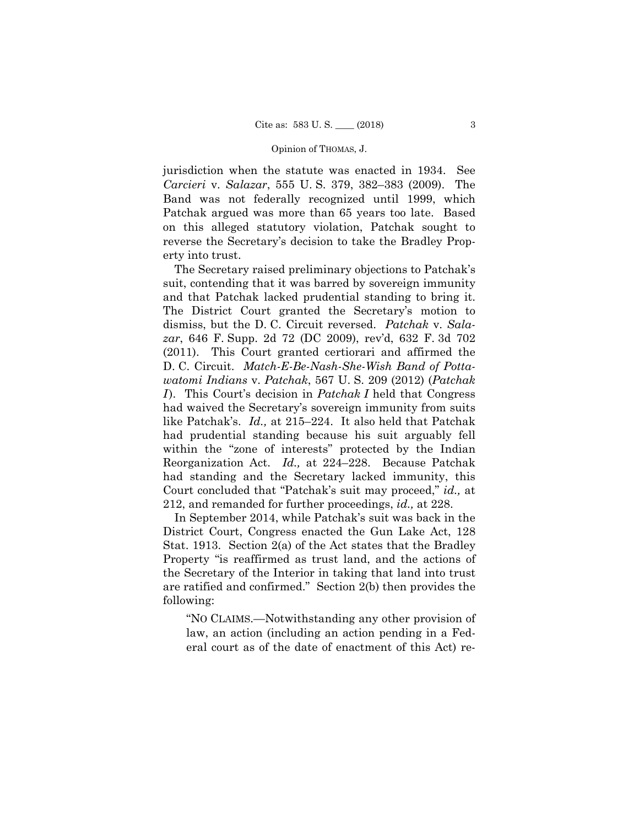jurisdiction when the statute was enacted in 1934. See *Carcieri* v. *Salazar*, 555 U. S. 379, 382–383 (2009). The Band was not federally recognized until 1999, which Patchak argued was more than 65 years too late. Based on this alleged statutory violation, Patchak sought to reverse the Secretary's decision to take the Bradley Property into trust.

The Secretary raised preliminary objections to Patchak's suit, contending that it was barred by sovereign immunity and that Patchak lacked prudential standing to bring it. The District Court granted the Secretary's motion to dismiss, but the D. C. Circuit reversed. *Patchak* v. *Salazar*, 646 F. Supp. 2d 72 (DC 2009), rev'd, 632 F. 3d 702 (2011). This Court granted certiorari and affirmed the D. C. Circuit. *Match-E-Be-Nash-She-Wish Band of Pottawatomi Indians* v. *Patchak*, 567 U. S. 209 (2012) (*Patchak I* ). This Court's decision in *Patchak I* held that Congress had waived the Secretary's sovereign immunity from suits like Patchak's. *Id.,* at 215–224. It also held that Patchak had prudential standing because his suit arguably fell within the "zone of interests" protected by the Indian Reorganization Act. *Id.,* at 224–228. Because Patchak had standing and the Secretary lacked immunity, this Court concluded that "Patchak's suit may proceed," *id.,* at 212, and remanded for further proceedings, *id.,* at 228.

In September 2014, while Patchak's suit was back in the District Court, Congress enacted the Gun Lake Act, 128 Stat. 1913. Section 2(a) of the Act states that the Bradley Property "is reaffirmed as trust land, and the actions of the Secretary of the Interior in taking that land into trust are ratified and confirmed." Section 2(b) then provides the following:

"NO CLAIMS.—Notwithstanding any other provision of law, an action (including an action pending in a Federal court as of the date of enactment of this Act) re-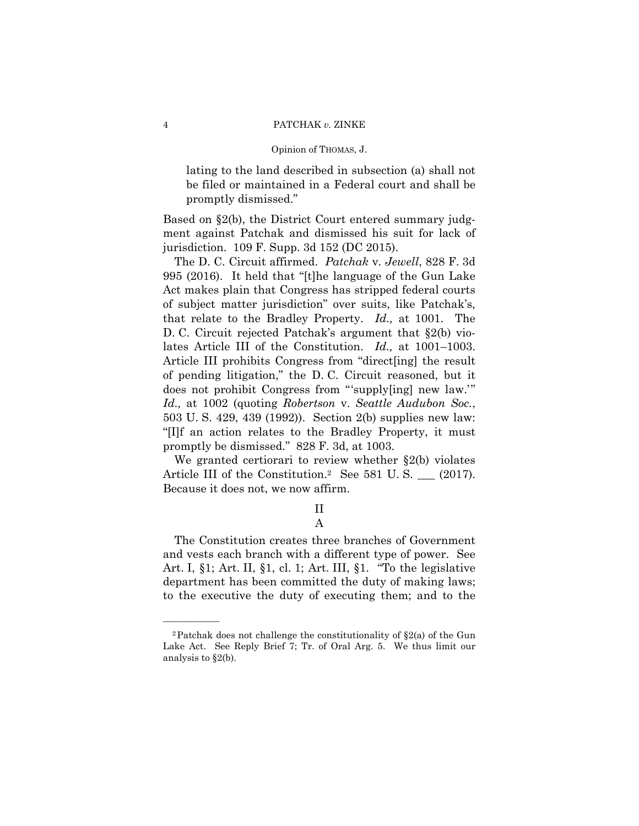lating to the land described in subsection (a) shall not be filed or maintained in a Federal court and shall be promptly dismissed."

Based on §2(b), the District Court entered summary judgment against Patchak and dismissed his suit for lack of jurisdiction. 109 F. Supp. 3d 152 (DC 2015).

The D. C. Circuit affirmed. *Patchak* v. *Jewell*, 828 F. 3d 995 (2016). It held that "[t]he language of the Gun Lake Act makes plain that Congress has stripped federal courts of subject matter jurisdiction" over suits, like Patchak's, that relate to the Bradley Property. *Id.,* at 1001. The D. C. Circuit rejected Patchak's argument that §2(b) violates Article III of the Constitution. *Id.,* at 1001–1003. Article III prohibits Congress from "direct[ing] the result of pending litigation," the D. C. Circuit reasoned, but it does not prohibit Congress from "'supply[ing] new law.'" *Id.,* at 1002 (quoting *Robertson* v. *Seattle Audubon Soc.*, 503 U. S. 429, 439 (1992)). Section 2(b) supplies new law: "[I]f an action relates to the Bradley Property, it must promptly be dismissed." 828 F. 3d, at 1003.

We granted certiorari to review whether §2(b) violates Article III of the Constitution.<sup>2</sup> See 581 U.S. \_\_\_ (2017). Because it does not, we now affirm.

II<br>A

The Constitution creates three branches of Government and vests each branch with a different type of power. See Art. I, §1; Art. II, §1, cl. 1; Art. III, §1. "To the legislative department has been committed the duty of making laws; to the executive the duty of executing them; and to the

<sup>&</sup>lt;sup>2</sup>Patchak does not challenge the constitutionality of  $\S2(a)$  of the Gun Lake Act. See Reply Brief 7; Tr. of Oral Arg. 5. We thus limit our analysis to §2(b).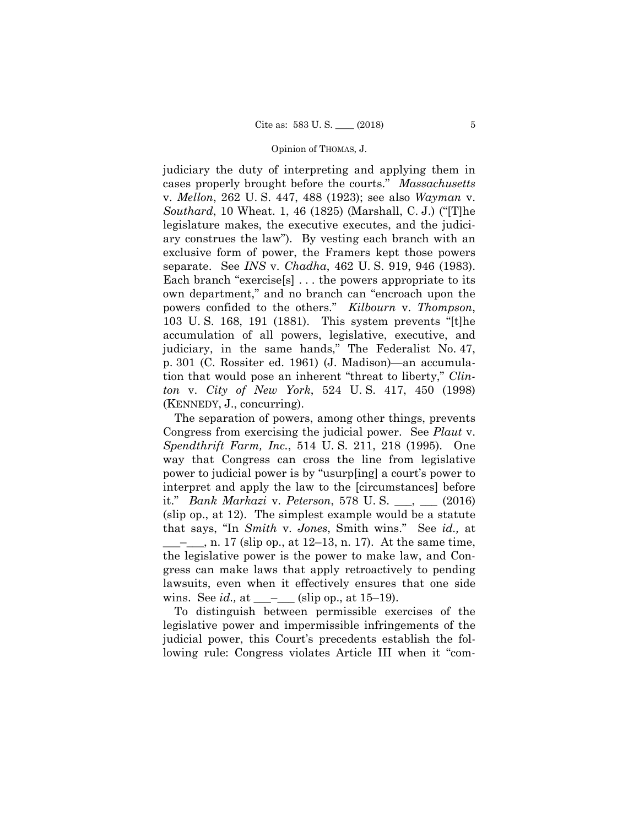judiciary the duty of interpreting and applying them in cases properly brought before the courts." *Massachusetts*  v. *Mellon*, 262 U. S. 447, 488 (1923); see also *Wayman* v. *Southard*, 10 Wheat. 1, 46 (1825) (Marshall, C. J.) ("[T]he legislature makes, the executive executes, and the judiciary construes the law"). By vesting each branch with an exclusive form of power, the Framers kept those powers separate. See *INS* v. *Chadha*, 462 U. S. 919, 946 (1983). Each branch "exercise[s] . . . the powers appropriate to its own department," and no branch can "encroach upon the powers confided to the others." *Kilbourn* v. *Thompson*, 103 U. S. 168, 191 (1881). This system prevents "[t]he accumulation of all powers, legislative, executive, and judiciary, in the same hands," The Federalist No. 47, p. 301 (C. Rossiter ed. 1961) (J. Madison)—an accumulation that would pose an inherent "threat to liberty," *Clinton* v. *City of New York*, 524 U. S. 417, 450 (1998) (KENNEDY, J., concurring).

The separation of powers, among other things, prevents Congress from exercising the judicial power. See *Plaut* v. *Spendthrift Farm, Inc.*, 514 U. S. 211, 218 (1995). One way that Congress can cross the line from legislative power to judicial power is by "usurp[ing] a court's power to interpret and apply the law to the [circumstances] before it." *Bank Markazi* v. *Peterson*, 578 U. S. \_\_\_, \_\_\_ (2016) (slip op., at 12). The simplest example would be a statute that says, "In *Smith* v. *Jones*, Smith wins." See *id.,* at  $\_\_\_\_$ , n. 17 (slip op., at 12–13, n. 17). At the same time, the legislative power is the power to make law, and Congress can make laws that apply retroactively to pending lawsuits, even when it effectively ensures that one side wins. See *id.*, at  $\_\_$ - $\_\_$  (slip op., at 15–19).

To distinguish between permissible exercises of the legislative power and impermissible infringements of the judicial power, this Court's precedents establish the following rule: Congress violates Article III when it "com-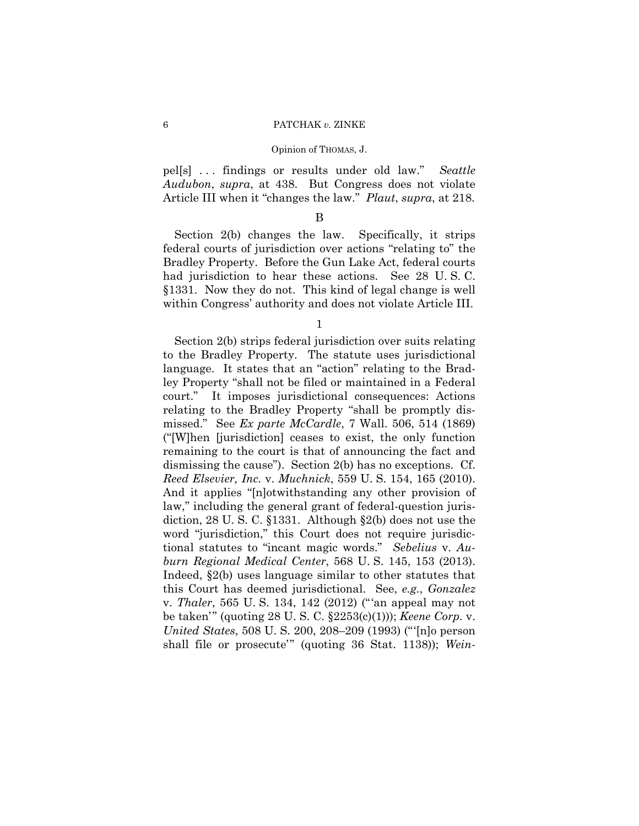pel[s] . . . findings or results under old law." *Seattle Audubon*, *supra*, at 438. But Congress does not violate Article III when it "changes the law." *Plaut*, *supra*, at 218.

# B

Section 2(b) changes the law. Specifically, it strips federal courts of jurisdiction over actions "relating to" the Bradley Property. Before the Gun Lake Act, federal courts had jurisdiction to hear these actions. See 28 U. S. C. §1331. Now they do not. This kind of legal change is well within Congress' authority and does not violate Article III.

1

Section 2(b) strips federal jurisdiction over suits relating to the Bradley Property. The statute uses jurisdictional language. It states that an "action" relating to the Bradley Property "shall not be filed or maintained in a Federal court." It imposes jurisdictional consequences: Actions relating to the Bradley Property "shall be promptly dismissed." See *Ex parte McCardle*, 7 Wall. 506, 514 (1869) ("[W]hen [jurisdiction] ceases to exist, the only function remaining to the court is that of announcing the fact and dismissing the cause"). Section 2(b) has no exceptions. Cf. *Reed Elsevier, Inc.* v. *Muchnick*, 559 U. S. 154, 165 (2010). And it applies "[n]otwithstanding any other provision of law," including the general grant of federal-question jurisdiction, 28 U. S. C. §1331. Although §2(b) does not use the word "jurisdiction," this Court does not require jurisdictional statutes to "incant magic words." *Sebelius* v. *Auburn Regional Medical Center*, 568 U. S. 145, 153 (2013). Indeed, §2(b) uses language similar to other statutes that this Court has deemed jurisdictional. See, *e.g.*, *Gonzalez*  v. *Thaler*, 565 U. S. 134, 142 (2012) ("'an appeal may not be taken'" (quoting 28 U. S. C. §2253(c)(1))); *Keene Corp.* v. *United States*, 508 U. S. 200, 208–209 (1993) ("'[n]o person shall file or prosecute'" (quoting 36 Stat. 1138)); *Wein-*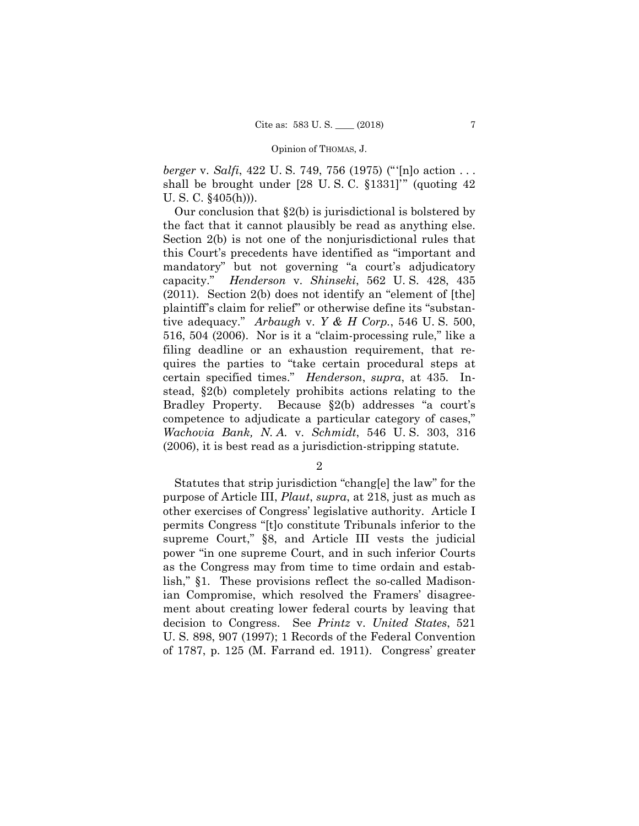*berger* v. *Salfi*, 422 U. S. 749, 756 (1975) ("'[n]o action . . . shall be brought under [28 U. S. C. §1331]'" (quoting 42 U. S. C. §405(h))).

 the fact that it cannot plausibly be read as anything else. capacity." Our conclusion that §2(b) is jurisdictional is bolstered by Section 2(b) is not one of the nonjurisdictional rules that this Court's precedents have identified as "important and mandatory" but not governing "a court's adjudicatory capacity." *Henderson* v. *Shinseki*, 562 U. S. 428, 435 (2011). Section 2(b) does not identify an "element of [the] plaintiff's claim for relief" or otherwise define its "substantive adequacy." *Arbaugh* v. *Y & H Corp.*, 546 U. S. 500, 516, 504 (2006). Nor is it a "claim-processing rule," like a filing deadline or an exhaustion requirement, that requires the parties to "take certain procedural steps at certain specified times." *Henderson*, *supra*, at 435*.* Instead, §2(b) completely prohibits actions relating to the Bradley Property. Because §2(b) addresses "a court's competence to adjudicate a particular category of cases," *Wachovia Bank, N. A.* v. *Schmidt*, 546 U. S. 303, 316 (2006), it is best read as a jurisdiction-stripping statute.

2

 lish," §1. These provisions reflect the so-called Madison-Statutes that strip jurisdiction "chang[e] the law" for the purpose of Article III, *Plaut*, *supra*, at 218, just as much as other exercises of Congress' legislative authority. Article I permits Congress "[t]o constitute Tribunals inferior to the supreme Court," §8, and Article III vests the judicial power "in one supreme Court, and in such inferior Courts as the Congress may from time to time ordain and estabian Compromise, which resolved the Framers' disagreement about creating lower federal courts by leaving that decision to Congress. See *Printz* v. *United States*, 521 U. S. 898, 907 (1997); 1 Records of the Federal Convention of 1787, p. 125 (M. Farrand ed. 1911). Congress' greater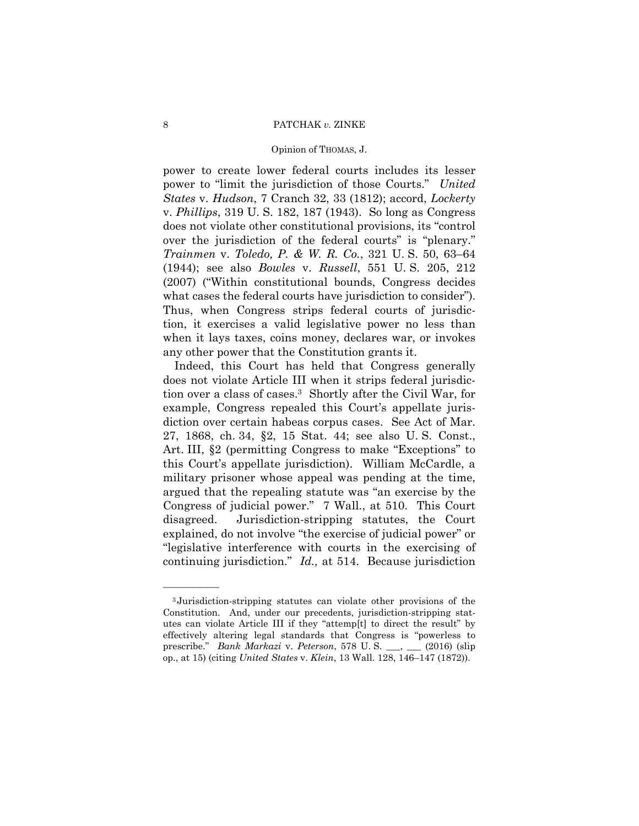# 8 **PATCHAK** *v*. ZINKE

# Opinion of THOMAS, J.

what cases the federal courts have jurisdiction to consider"). power to create lower federal courts includes its lesser power to "limit the jurisdiction of those Courts." *United States* v. *Hudson*, 7 Cranch 32, 33 (1812); accord, *Lockerty*  v. *Phillips*, 319 U. S. 182, 187 (1943). So long as Congress does not violate other constitutional provisions, its "control over the jurisdiction of the federal courts" is "plenary." *Trainmen* v. *Toledo, P. & W. R. Co.*, 321 U. S. 50, 63–64 (1944); see also *Bowles* v. *Russell*, 551 U. S. 205, 212 (2007) ("Within constitutional bounds, Congress decides Thus, when Congress strips federal courts of jurisdiction, it exercises a valid legislative power no less than when it lays taxes, coins money, declares war, or invokes any other power that the Constitution grants it.

Indeed, this Court has held that Congress generally does not violate Article III when it strips federal jurisdiction over a class of cases.3 Shortly after the Civil War, for example, Congress repealed this Court's appellate jurisdiction over certain habeas corpus cases. See Act of Mar. 27, 1868, ch. 34, §2, 15 Stat. 44; see also U. S. Const., Art. III, §2 (permitting Congress to make "Exceptions" to this Court's appellate jurisdiction). William McCardle, a military prisoner whose appeal was pending at the time, argued that the repealing statute was "an exercise by the Congress of judicial power." 7 Wall., at 510. This Court disagreed. Jurisdiction-stripping statutes, the Court explained, do not involve "the exercise of judicial power" or "legislative interference with courts in the exercising of continuing jurisdiction." *Id.,* at 514. Because jurisdiction

 prescribe." *Bank Markazi* v. *Peterson*, 578 U. S. \_\_\_, \_\_\_ (2016) (slip <sup>3</sup> Jurisdiction-stripping statutes can violate other provisions of the Constitution. And, under our precedents, jurisdiction-stripping statutes can violate Article III if they "attemp[t] to direct the result" by effectively altering legal standards that Congress is "powerless to op., at 15) (citing *United States* v. *Klein*, 13 Wall. 128, 146–147 (1872)).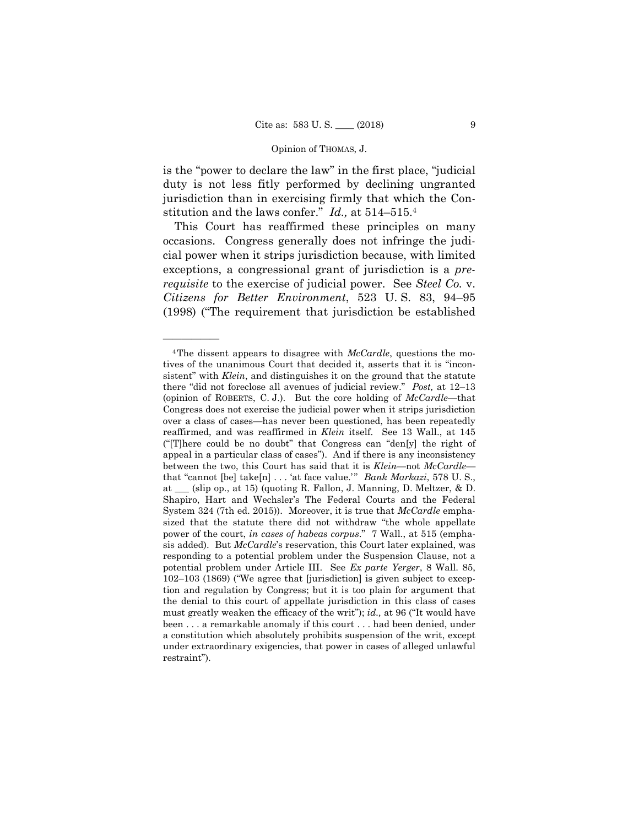is the "power to declare the law" in the first place, "judicial duty is not less fitly performed by declining ungranted jurisdiction than in exercising firmly that which the Constitution and the laws confer." *Id.,* at 514–515.4

This Court has reaffirmed these principles on many occasions. Congress generally does not infringe the judicial power when it strips jurisdiction because, with limited exceptions, a congressional grant of jurisdiction is a *prerequisite* to the exercise of judicial power. See *Steel Co.* v. *Citizens for Better Environment*, 523 U. S. 83, 94–95 (1998) ("The requirement that jurisdiction be established

<sup>4</sup>The dissent appears to disagree with *McCardle*, questions the motives of the unanimous Court that decided it, asserts that it is "inconsistent" with *Klein*, and distinguishes it on the ground that the statute there "did not foreclose all avenues of judicial review." *Post,* at 12–13 (opinion of ROBERTS, C. J.). But the core holding of *McCardle*—that Congress does not exercise the judicial power when it strips jurisdiction over a class of cases—has never been questioned, has been repeatedly reaffirmed, and was reaffirmed in *Klein* itself. See 13 Wall., at 145 ("[T]here could be no doubt" that Congress can "den[y] the right of appeal in a particular class of cases"). And if there is any inconsistency between the two, this Court has said that it is *Klein*—not *McCardle* that "cannot [be] take[n] . . . 'at face value.'" *Bank Markazi*, 578 U.S., at \_\_\_ (slip op., at 15) (quoting R. Fallon, J. Manning, D. Meltzer, & D. Shapiro, Hart and Wechsler's The Federal Courts and the Federal System 324 (7th ed. 2015)). Moreover, it is true that *McCardle* emphasized that the statute there did not withdraw "the whole appellate power of the court, *in cases of habeas corpus*." 7 Wall., at 515 (emphasis added). But *McCardle*'s reservation, this Court later explained, was responding to a potential problem under the Suspension Clause, not a potential problem under Article III. See *Ex parte Yerger*, 8 Wall. 85, 102–103 (1869) ("We agree that [jurisdiction] is given subject to exception and regulation by Congress; but it is too plain for argument that the denial to this court of appellate jurisdiction in this class of cases must greatly weaken the efficacy of the writ"); *id.,* at 96 ("It would have been . . . a remarkable anomaly if this court . . . had been denied, under a constitution which absolutely prohibits suspension of the writ, except under extraordinary exigencies, that power in cases of alleged unlawful restraint").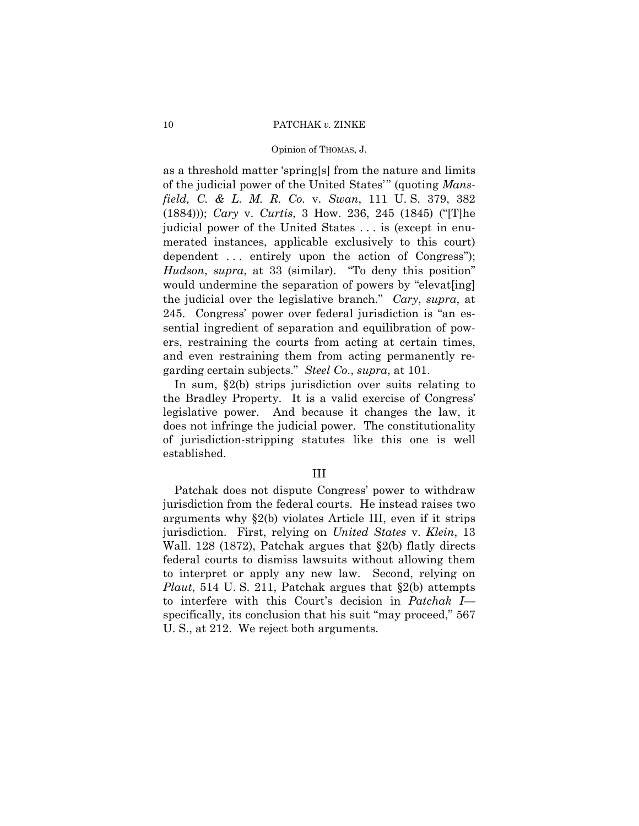# 10 PATCHAK *v.* ZINKE

# Opinion of THOMAS, J.

as a threshold matter 'spring[s] from the nature and limits of the judicial power of the United States'" (quoting *Mansfield, C. & L. M. R. Co.* v. *Swan*, 111 U. S. 379, 382 (1884))); *Cary* v. *Curtis*, 3 How. 236, 245 (1845) ("[T]he judicial power of the United States . . . is (except in enumerated instances, applicable exclusively to this court) dependent ... entirely upon the action of Congress"); *Hudson*, *supra*, at 33 (similar). "To deny this position" would undermine the separation of powers by "elevat[ing] the judicial over the legislative branch." *Cary*, *supra*, at 245. Congress' power over federal jurisdiction is "an essential ingredient of separation and equilibration of powers, restraining the courts from acting at certain times, and even restraining them from acting permanently regarding certain subjects." *Steel Co.*, *supra*, at 101.

 of jurisdiction-stripping statutes like this one is well In sum, §2(b) strips jurisdiction over suits relating to the Bradley Property. It is a valid exercise of Congress' legislative power. And because it changes the law, it does not infringe the judicial power. The constitutionality established.

# III

Patchak does not dispute Congress' power to withdraw jurisdiction from the federal courts. He instead raises two arguments why §2(b) violates Article III, even if it strips jurisdiction. First, relying on *United States* v. *Klein*, 13 Wall. 128 (1872), Patchak argues that §2(b) flatly directs federal courts to dismiss lawsuits without allowing them to interpret or apply any new law. Second, relying on *Plaut*, 514 U. S. 211, Patchak argues that §2(b) attempts to interfere with this Court's decision in *Patchak I* specifically, its conclusion that his suit "may proceed," 567 U. S., at 212. We reject both arguments.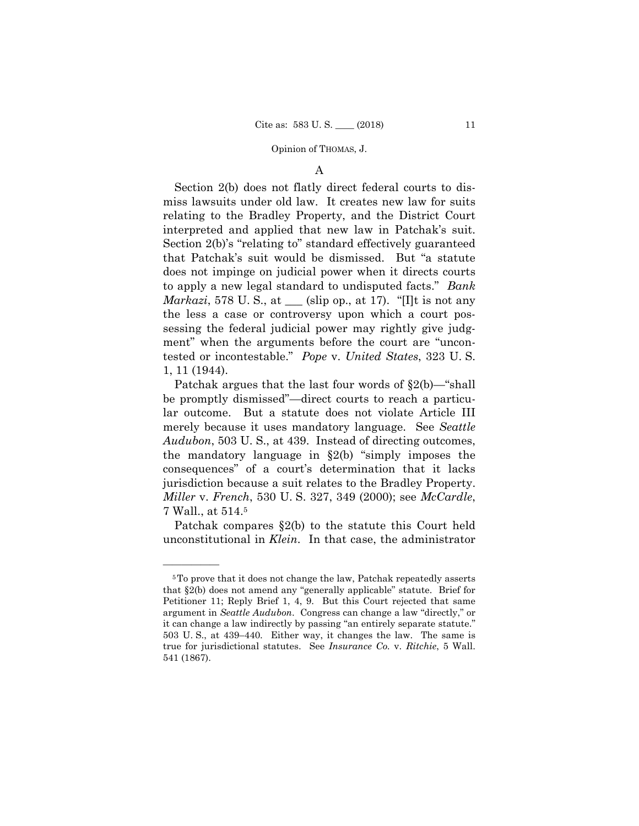# A

Section 2(b) does not flatly direct federal courts to dismiss lawsuits under old law. It creates new law for suits relating to the Bradley Property, and the District Court interpreted and applied that new law in Patchak's suit. Section 2(b)'s "relating to" standard effectively guaranteed that Patchak's suit would be dismissed. But "a statute does not impinge on judicial power when it directs courts to apply a new legal standard to undisputed facts." *Bank Markazi*, 578 U. S., at <u>equal</u> (slip op., at 17). "[I]t is not any the less a case or controversy upon which a court possessing the federal judicial power may rightly give judgment" when the arguments before the court are "uncontested or incontestable." *Pope* v. *United States*, 323 U. S. 1, 11 (1944).

Patchak argues that the last four words of §2(b)—"shall be promptly dismissed"—direct courts to reach a particular outcome. But a statute does not violate Article III merely because it uses mandatory language. See *Seattle Audubon*, 503 U. S., at 439. Instead of directing outcomes, the mandatory language in §2(b) "simply imposes the consequences" of a court's determination that it lacks jurisdiction because a suit relates to the Bradley Property. *Miller* v. *French*, 530 U. S. 327, 349 (2000); see *McCardle*, 7 Wall., at 514.5

Patchak compares §2(b) to the statute this Court held unconstitutional in *Klein*. In that case, the administrator

 it can change a law indirectly by passing "an entirely separate statute." 5To prove that it does not change the law, Patchak repeatedly asserts that §2(b) does not amend any "generally applicable" statute. Brief for Petitioner 11; Reply Brief 1, 4, 9. But this Court rejected that same argument in *Seattle Audubon*. Congress can change a law "directly," or 503 U. S., at 439–440. Either way, it changes the law. The same is true for jurisdictional statutes. See *Insurance Co.* v. *Ritchie*, 5 Wall. 541 (1867).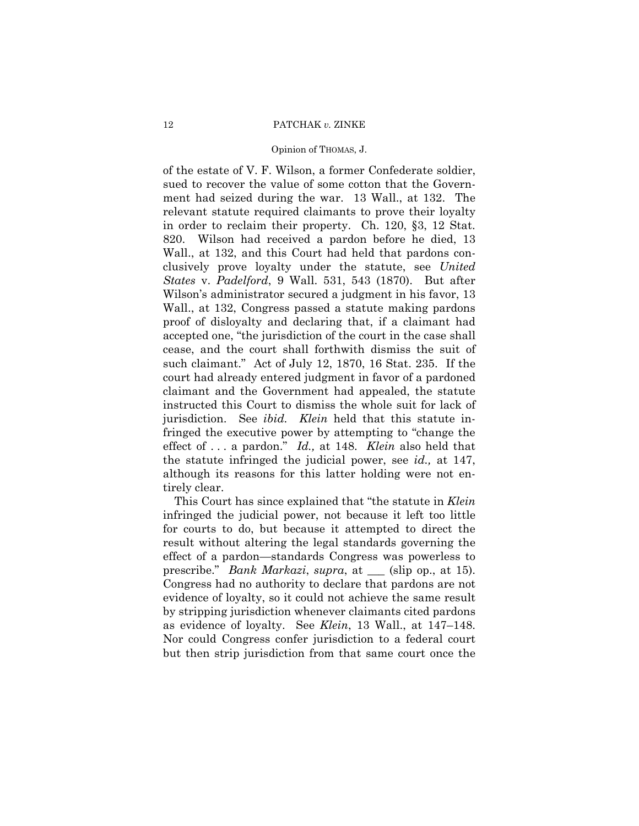# 12 PATCHAK *v.* ZINKE

# Opinion of THOMAS, J.

 jurisdiction. See *ibid. Klein* held that this statute inof the estate of V. F. Wilson, a former Confederate soldier, sued to recover the value of some cotton that the Government had seized during the war. 13 Wall., at 132. The relevant statute required claimants to prove their loyalty in order to reclaim their property. Ch. 120, §3, 12 Stat. 820. Wilson had received a pardon before he died, 13 Wall., at 132, and this Court had held that pardons conclusively prove loyalty under the statute, see *United States* v. *Padelford*, 9 Wall. 531, 543 (1870). But after Wilson's administrator secured a judgment in his favor, 13 Wall., at 132, Congress passed a statute making pardons proof of disloyalty and declaring that, if a claimant had accepted one, "the jurisdiction of the court in the case shall cease, and the court shall forthwith dismiss the suit of such claimant." Act of July 12, 1870, 16 Stat. 235. If the court had already entered judgment in favor of a pardoned claimant and the Government had appealed, the statute instructed this Court to dismiss the whole suit for lack of fringed the executive power by attempting to "change the effect of . . . a pardon." *Id.,* at 148. *Klein* also held that the statute infringed the judicial power, see *id.,* at 147, although its reasons for this latter holding were not entirely clear.

This Court has since explained that "the statute in *Klein*  infringed the judicial power, not because it left too little for courts to do, but because it attempted to direct the result without altering the legal standards governing the effect of a pardon—standards Congress was powerless to prescribe." *Bank Markazi*, *supra*, at \_\_\_ (slip op., at 15). Congress had no authority to declare that pardons are not evidence of loyalty, so it could not achieve the same result by stripping jurisdiction whenever claimants cited pardons as evidence of loyalty. See *Klein*, 13 Wall., at 147–148. Nor could Congress confer jurisdiction to a federal court but then strip jurisdiction from that same court once the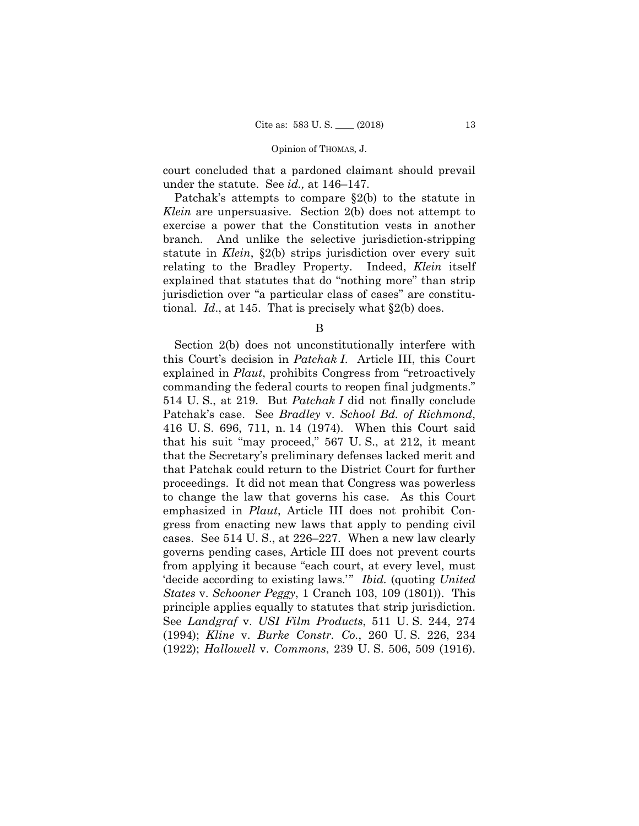court concluded that a pardoned claimant should prevail under the statute. See *id.,* at 146–147.

Patchak's attempts to compare §2(b) to the statute in *Klein* are unpersuasive. Section 2(b) does not attempt to exercise a power that the Constitution vests in another branch. And unlike the selective jurisdiction-stripping statute in *Klein*, §2(b) strips jurisdiction over every suit relating to the Bradley Property. Indeed, *Klein* itself explained that statutes that do "nothing more" than strip jurisdiction over "a particular class of cases" are constitutional. *Id*., at 145. That is precisely what §2(b) does.

B

Section 2(b) does not unconstitutionally interfere with this Court's decision in *Patchak I*. Article III, this Court explained in *Plaut*, prohibits Congress from "retroactively commanding the federal courts to reopen final judgments." 514 U. S., at 219. But *Patchak I* did not finally conclude Patchak's case. See *Bradley* v. *School Bd. of Richmond*, 416 U. S. 696, 711, n. 14 (1974). When this Court said that his suit "may proceed," 567 U. S., at 212, it meant that the Secretary's preliminary defenses lacked merit and that Patchak could return to the District Court for further proceedings. It did not mean that Congress was powerless to change the law that governs his case. As this Court emphasized in *Plaut*, Article III does not prohibit Congress from enacting new laws that apply to pending civil cases. See 514 U. S., at 226–227. When a new law clearly governs pending cases, Article III does not prevent courts from applying it because "each court, at every level, must 'decide according to existing laws.'" *Ibid.* (quoting *United States* v. *Schooner Peggy*, 1 Cranch 103, 109 (1801)). This principle applies equally to statutes that strip jurisdiction. See *Landgraf* v. *USI Film Products*, 511 U. S. 244, 274 (1994); *Kline* v. *Burke Constr. Co.*, 260 U. S. 226, 234 (1922); *Hallowell* v. *Commons*, 239 U. S. 506, 509 (1916).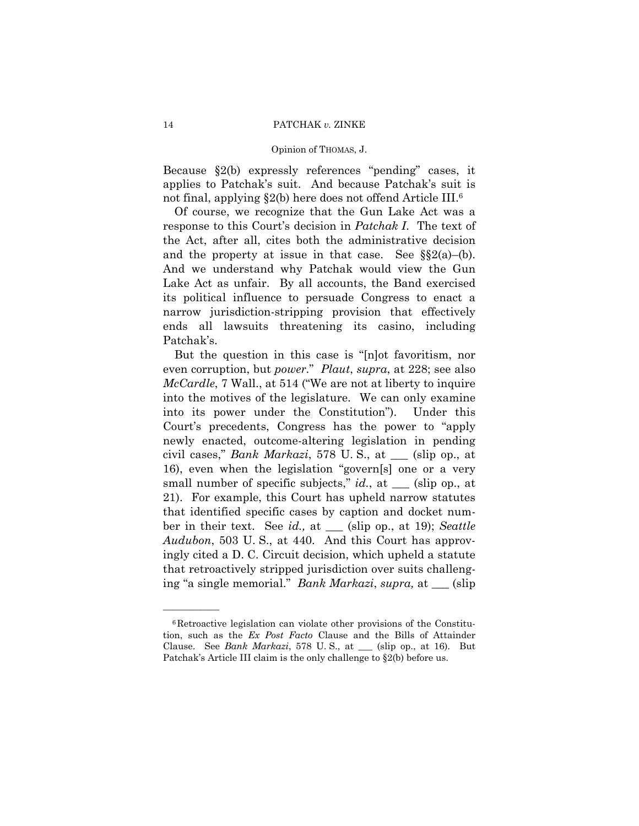Because §2(b) expressly references "pending" cases, it applies to Patchak's suit. And because Patchak's suit is not final, applying §2(b) here does not offend Article III.<sup>6</sup>

Of course, we recognize that the Gun Lake Act was a response to this Court's decision in *Patchak I*. The text of the Act, after all, cites both the administrative decision and the property at issue in that case. See §§2(a)–(b). And we understand why Patchak would view the Gun Lake Act as unfair. By all accounts, the Band exercised its political influence to persuade Congress to enact a narrow jurisdiction-stripping provision that effectively ends all lawsuits threatening its casino, including Patchak's.

 even corruption, but *power*." *Plaut*, *supra*, at 228; see also ing "a single memorial." *Bank Markazi*, *supra,* at \_\_\_ (slip But the question in this case is "[n]ot favoritism, nor *McCardle*, 7 Wall., at 514 ("We are not at liberty to inquire into the motives of the legislature. We can only examine into its power under the Constitution"). Under this Court's precedents, Congress has the power to "apply newly enacted, outcome-altering legislation in pending civil cases," *Bank Markazi*, 578 U. S., at \_\_\_ (slip op., at 16), even when the legislation "govern[s] one or a very small number of specific subjects," *id.*, at \_\_\_ (slip op., at 21). For example, this Court has upheld narrow statutes that identified specific cases by caption and docket number in their text. See *id.,* at \_\_\_ (slip op., at 19); *Seattle Audubon*, 503 U. S., at 440. And this Court has approvingly cited a D. C. Circuit decision, which upheld a statute that retroactively stripped jurisdiction over suits challeng-

<sup>6</sup>Retroactive legislation can violate other provisions of the Constitution, such as the *Ex Post Facto* Clause and the Bills of Attainder Clause. See *Bank Markazi*, 578 U. S., at \_\_\_ (slip op., at 16). But Patchak's Article III claim is the only challenge to §2(b) before us.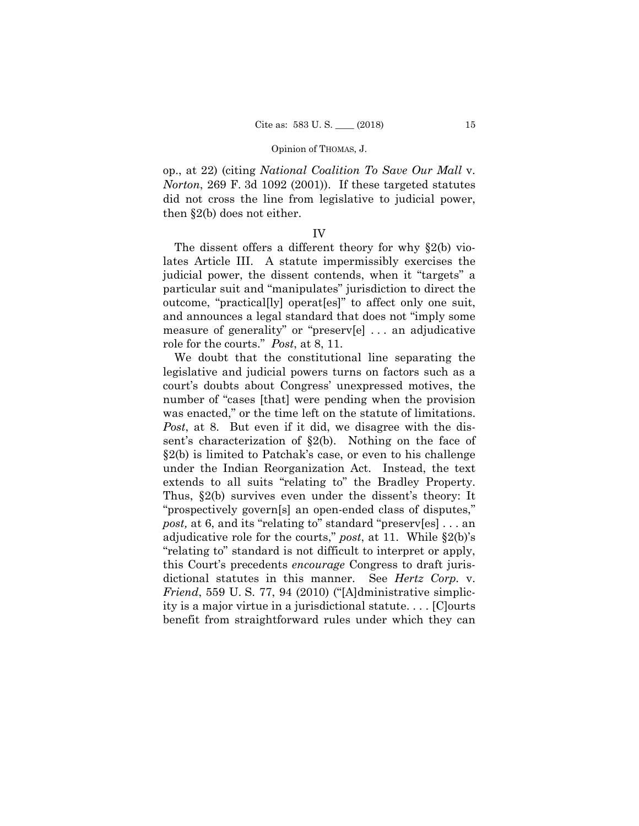op., at 22) (citing *National Coalition To Save Our Mall* v. *Norton*, 269 F. 3d 1092 (2001)). If these targeted statutes did not cross the line from legislative to judicial power, then §2(b) does not either.

# IV

 judicial power, the dissent contends, when it "targets" a The dissent offers a different theory for why §2(b) violates Article III. A statute impermissibly exercises the particular suit and "manipulates" jurisdiction to direct the outcome, "practical[ly] operat[es]" to affect only one suit, and announces a legal standard that does not "imply some measure of generality" or "preserv[e] . . . an adjudicative role for the courts." *Post*, at 8, 11.

 extends to all suits "relating to" the Bradley Property. We doubt that the constitutional line separating the legislative and judicial powers turns on factors such as a court's doubts about Congress' unexpressed motives, the number of "cases [that] were pending when the provision was enacted," or the time left on the statute of limitations. *Post*, at 8. But even if it did, we disagree with the dissent's characterization of §2(b). Nothing on the face of §2(b) is limited to Patchak's case, or even to his challenge under the Indian Reorganization Act. Instead, the text Thus, §2(b) survives even under the dissent's theory: It "prospectively govern[s] an open-ended class of disputes," *post,* at 6, and its "relating to" standard "preserv[es] . . . an adjudicative role for the courts," *post*, at 11. While §2(b)'s "relating to" standard is not difficult to interpret or apply, this Court's precedents *encourage* Congress to draft jurisdictional statutes in this manner. See *Hertz Corp.* v. *Friend*, 559 U. S. 77, 94 (2010) ("[A]dministrative simplicity is a major virtue in a jurisdictional statute. . . . [C]ourts benefit from straightforward rules under which they can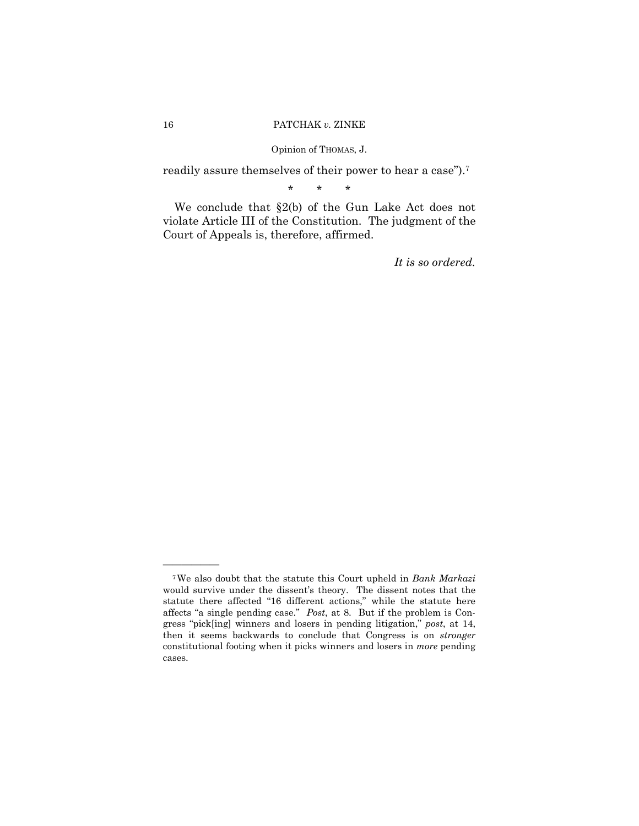readily assure themselves of their power to hear a case").7

\* \* \*

We conclude that §2(b) of the Gun Lake Act does not violate Article III of the Constitution. The judgment of the Court of Appeals is, therefore, affirmed.

*It is so ordered.* 

 affects "a single pending case." *Post*, at 8. But if the problem is Con-7We also doubt that the statute this Court upheld in *Bank Markazi*  would survive under the dissent's theory. The dissent notes that the statute there affected "16 different actions," while the statute here gress "pick[ing] winners and losers in pending litigation," *post*, at 14, then it seems backwards to conclude that Congress is on *stronger*  constitutional footing when it picks winners and losers in *more* pending cases.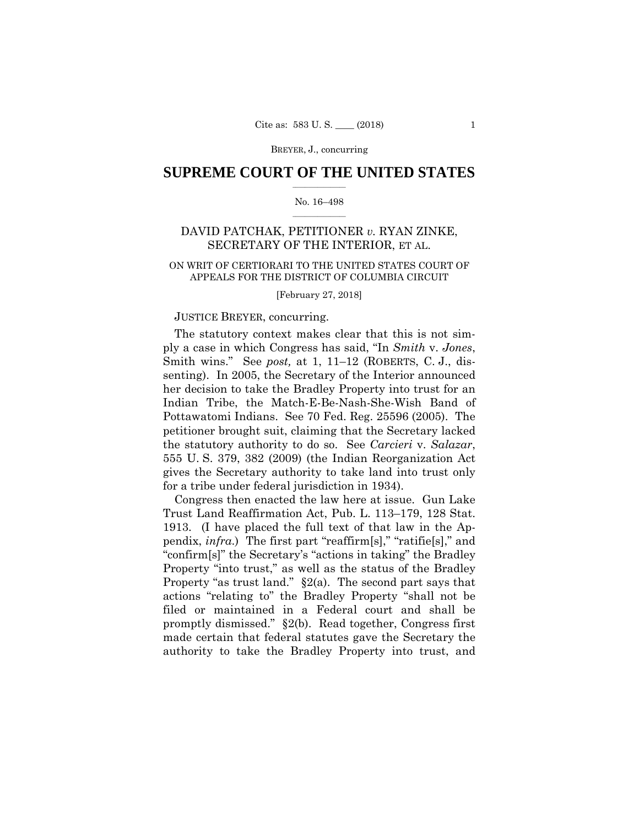BREYER, J., concurring

# $\frac{1}{2}$  ,  $\frac{1}{2}$  ,  $\frac{1}{2}$  ,  $\frac{1}{2}$  ,  $\frac{1}{2}$  ,  $\frac{1}{2}$  ,  $\frac{1}{2}$ **SUPREME COURT OF THE UNITED STATES**

# $\frac{1}{2}$  ,  $\frac{1}{2}$  ,  $\frac{1}{2}$  ,  $\frac{1}{2}$  ,  $\frac{1}{2}$  ,  $\frac{1}{2}$ No. 16–498

# DAVID PATCHAK, PETITIONER *v.* RYAN ZINKE, SECRETARY OF THE INTERIOR, ET AL.

# APPEALS FOR THE DISTRICT OF COLUMBIA CIRCUIT<br>[February 27, 2018] ON WRIT OF CERTIORARI TO THE UNITED STATES COURT OF

# JUSTICE BREYER, concurring.

The statutory context makes clear that this is not simply a case in which Congress has said, "In *Smith* v. *Jones*, Smith wins." See *post,* at 1, 11–12 (ROBERTS, C. J., dissenting). In 2005, the Secretary of the Interior announced her decision to take the Bradley Property into trust for an Indian Tribe, the Match-E-Be-Nash-She-Wish Band of Pottawatomi Indians. See 70 Fed. Reg. 25596 (2005). The petitioner brought suit, claiming that the Secretary lacked the statutory authority to do so. See *Carcieri* v. *Salazar*, 555 U. S. 379, 382 (2009) (the Indian Reorganization Act gives the Secretary authority to take land into trust only for a tribe under federal jurisdiction in 1934).

Congress then enacted the law here at issue. Gun Lake Trust Land Reaffirmation Act, Pub. L. 113–179, 128 Stat. 1913. (I have placed the full text of that law in the Appendix, *infra*.) The first part "reaffirm[s]," "ratifie[s]," and "confirm[s]" the Secretary's "actions in taking" the Bradley Property "into trust," as well as the status of the Bradley Property "as trust land." §2(a). The second part says that actions "relating to" the Bradley Property "shall not be filed or maintained in a Federal court and shall be promptly dismissed." §2(b). Read together, Congress first made certain that federal statutes gave the Secretary the authority to take the Bradley Property into trust, and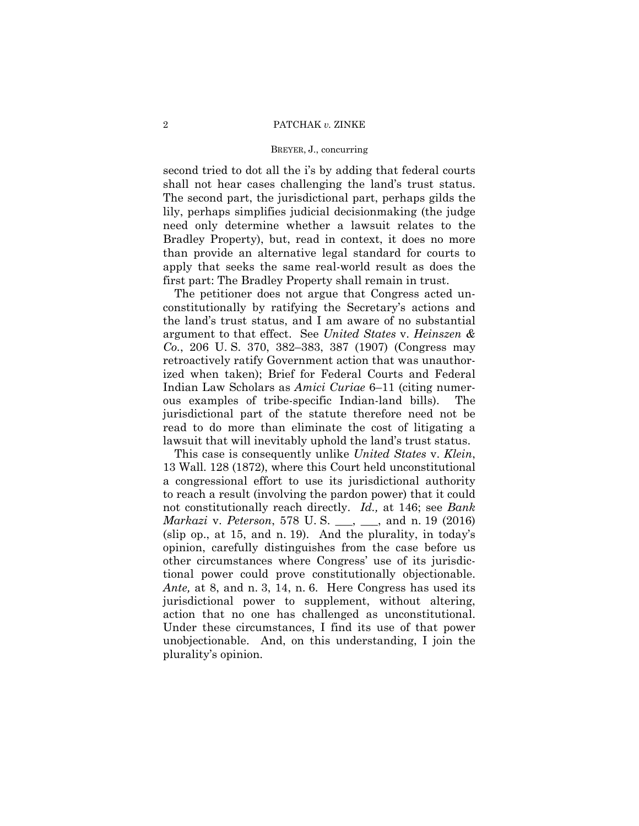# BREYER, J., concurring

second tried to dot all the i's by adding that federal courts shall not hear cases challenging the land's trust status. The second part, the jurisdictional part, perhaps gilds the lily, perhaps simplifies judicial decisionmaking (the judge need only determine whether a lawsuit relates to the Bradley Property), but, read in context, it does no more than provide an alternative legal standard for courts to apply that seeks the same real-world result as does the first part: The Bradley Property shall remain in trust.

The petitioner does not argue that Congress acted unconstitutionally by ratifying the Secretary's actions and the land's trust status, and I am aware of no substantial argument to that effect. See *United States* v. *Heinszen & Co.*, 206 U. S. 370, 382–383, 387 (1907) (Congress may retroactively ratify Government action that was unauthorized when taken); Brief for Federal Courts and Federal Indian Law Scholars as *Amici Curiae* 6–11 (citing numerous examples of tribe-specific Indian-land bills). The jurisdictional part of the statute therefore need not be read to do more than eliminate the cost of litigating a lawsuit that will inevitably uphold the land's trust status.

 not constitutionally reach directly. *Id.,* at 146; see *Bank*  This case is consequently unlike *United States* v. *Klein*, 13 Wall. 128 (1872), where this Court held unconstitutional a congressional effort to use its jurisdictional authority to reach a result (involving the pardon power) that it could *Markazi* v. *Peterson*, 578 U. S. \_\_\_, \_\_\_, and n. 19 (2016) (slip op., at 15, and n. 19). And the plurality, in today's opinion, carefully distinguishes from the case before us other circumstances where Congress' use of its jurisdictional power could prove constitutionally objectionable. *Ante,* at 8, and n. 3, 14, n. 6. Here Congress has used its jurisdictional power to supplement, without altering, action that no one has challenged as unconstitutional. Under these circumstances, I find its use of that power unobjectionable. And, on this understanding, I join the plurality's opinion.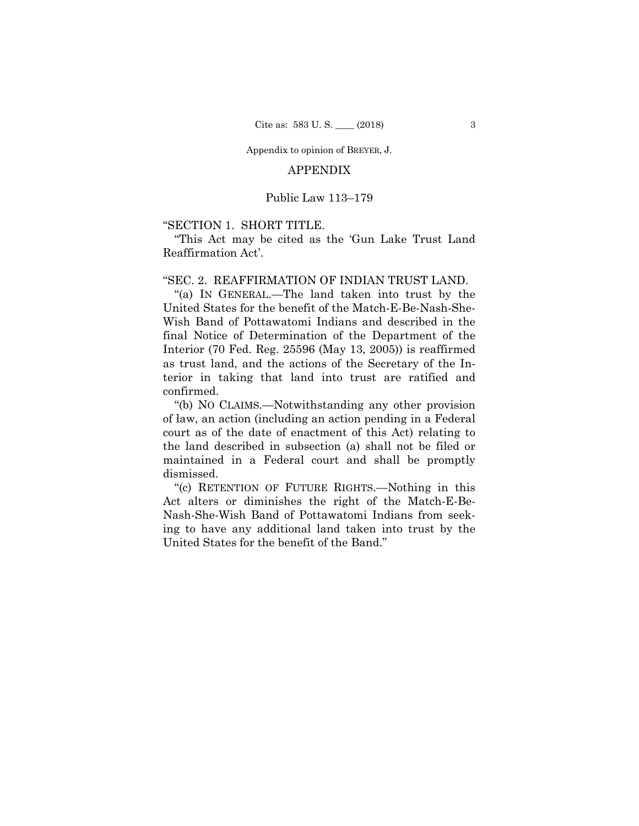Appendix to opinion of BREYER, J.

# APPENDIX

# Public Law 113–179

# "SECTION 1. SHORT TITLE.

"This Act may be cited as the 'Gun Lake Trust Land Reaffirmation Act'.

# "SEC. 2. REAFFIRMATION OF INDIAN TRUST LAND.

 terior in taking that land into trust are ratified and "(a) IN GENERAL.—The land taken into trust by the United States for the benefit of the Match-E-Be-Nash-She-Wish Band of Pottawatomi Indians and described in the final Notice of Determination of the Department of the Interior (70 Fed. Reg. 25596 (May 13, 2005)) is reaffirmed as trust land, and the actions of the Secretary of the Inconfirmed.

 "(b) NO CLAIMS.—Notwithstanding any other provision of law, an action (including an action pending in a Federal court as of the date of enactment of this Act) relating to the land described in subsection (a) shall not be filed or maintained in a Federal court and shall be promptly dismissed.

 "(c) RETENTION OF FUTURE RIGHTS.—Nothing in this Act alters or diminishes the right of the Match-E-Be-Nash-She-Wish Band of Pottawatomi Indians from seeking to have any additional land taken into trust by the United States for the benefit of the Band."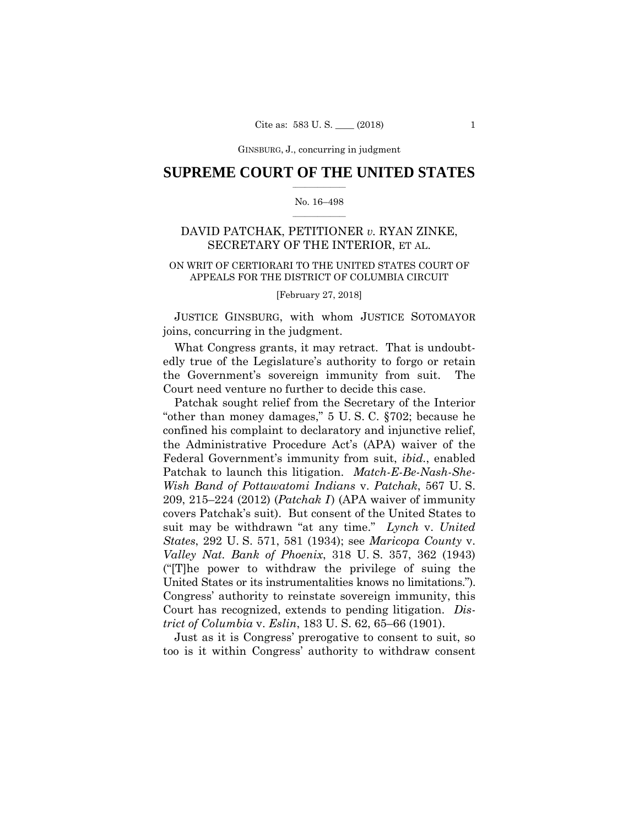GINSBURG, J., concurring in judgment

# $\frac{1}{2}$  ,  $\frac{1}{2}$  ,  $\frac{1}{2}$  ,  $\frac{1}{2}$  ,  $\frac{1}{2}$  ,  $\frac{1}{2}$  ,  $\frac{1}{2}$ **SUPREME COURT OF THE UNITED STATES**

# $\frac{1}{2}$  ,  $\frac{1}{2}$  ,  $\frac{1}{2}$  ,  $\frac{1}{2}$  ,  $\frac{1}{2}$  ,  $\frac{1}{2}$ No. 16–498

# DAVID PATCHAK, PETITIONER *v.* RYAN ZINKE, SECRETARY OF THE INTERIOR, ET AL.

# APPEALS FOR THE DISTRICT OF COLUMBIA CIRCUIT<br>[February 27, 2018] ON WRIT OF CERTIORARI TO THE UNITED STATES COURT OF

 JUSTICE GINSBURG, with whom JUSTICE SOTOMAYOR joins, concurring in the judgment.

What Congress grants, it may retract. That is undoubtedly true of the Legislature's authority to forgo or retain the Government's sovereign immunity from suit. The Court need venture no further to decide this case.

Patchak sought relief from the Secretary of the Interior "other than money damages," 5 U. S. C. §702; because he confined his complaint to declaratory and injunctive relief, the Administrative Procedure Act's (APA) waiver of the Federal Government's immunity from suit, *ibid.*, enabled Patchak to launch this litigation. *Match-E-Be-Nash-She-Wish Band of Pottawatomi Indians* v. *Patchak*, 567 U. S. 209, 215–224 (2012) (*Patchak I* ) (APA waiver of immunity covers Patchak's suit). But consent of the United States to suit may be withdrawn "at any time." *Lynch* v. *United States*, 292 U. S. 571, 581 (1934); see *Maricopa County* v. *Valley Nat. Bank of Phoenix*, 318 U. S. 357, 362 (1943) ("[T]he power to withdraw the privilege of suing the United States or its instrumentalities knows no limitations."). Congress' authority to reinstate sovereign immunity, this Court has recognized, extends to pending litigation. *District of Columbia* v. *Eslin*, 183 U. S. 62, 65–66 (1901).

Just as it is Congress' prerogative to consent to suit, so too is it within Congress' authority to withdraw consent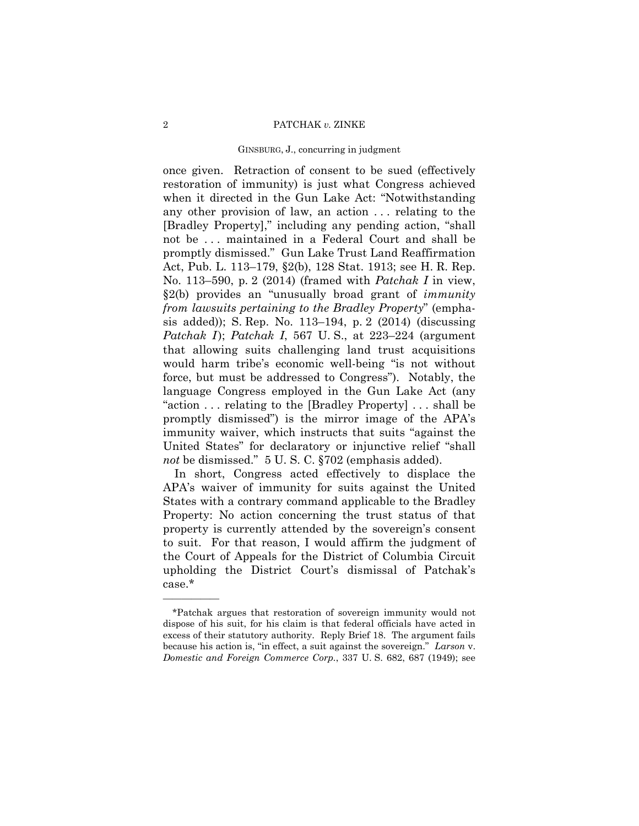# GINSBURG, J., concurring in judgment

once given. Retraction of consent to be sued (effectively restoration of immunity) is just what Congress achieved when it directed in the Gun Lake Act: "Notwithstanding any other provision of law, an action . . . relating to the [Bradley Property]," including any pending action, "shall not be . . . maintained in a Federal Court and shall be promptly dismissed." Gun Lake Trust Land Reaffirmation Act, Pub. L. 113–179, §2(b), 128 Stat. 1913; see H. R. Rep. No. 113–590, p. 2 (2014) (framed with *Patchak I* in view, §2(b) provides an "unusually broad grant of *immunity from lawsuits pertaining to the Bradley Property*" (emphasis added)); S. Rep. No. 113–194, p. 2 (2014) (discussing *Patchak I*); *Patchak I*, 567 U.S., at 223–224 (argument that allowing suits challenging land trust acquisitions would harm tribe's economic well-being "is not without force, but must be addressed to Congress"). Notably, the language Congress employed in the Gun Lake Act (any "action . . . relating to the [Bradley Property] . . . shall be promptly dismissed") is the mirror image of the APA's immunity waiver, which instructs that suits "against the United States" for declaratory or injunctive relief "shall *not* be dismissed." 5 U. S. C. §702 (emphasis added).

In short, Congress acted effectively to displace the APA's waiver of immunity for suits against the United States with a contrary command applicable to the Bradley Property: No action concerning the trust status of that property is currently attended by the sovereign's consent to suit. For that reason, I would affirm the judgment of the Court of Appeals for the District of Columbia Circuit upholding the District Court's dismissal of Patchak's case.\*

 excess of their statutory authority. Reply Brief 18. The argument fails \*Patchak argues that restoration of sovereign immunity would not dispose of his suit, for his claim is that federal officials have acted in because his action is, "in effect, a suit against the sovereign." *Larson* v. *Domestic and Foreign Commerce Corp.*, 337 U. S. 682, 687 (1949); see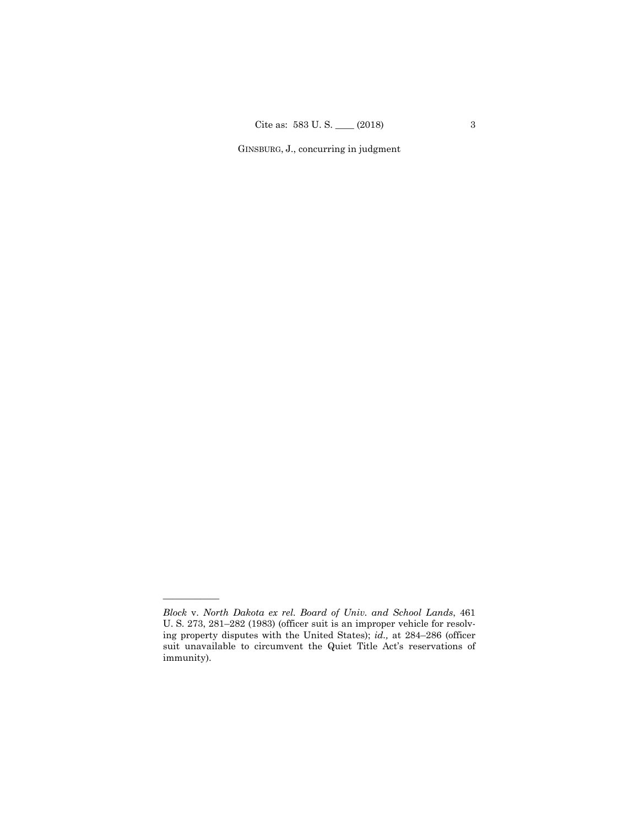GINSBURG, J., concurring in judgment

*Block* v. *North Dakota ex rel. Board of Univ. and School Lands*, 461 U. S. 273, 281–282 (1983) (officer suit is an improper vehicle for resolving property disputes with the United States); *id.,* at 284–286 (officer suit unavailable to circumvent the Quiet Title Act's reservations of immunity).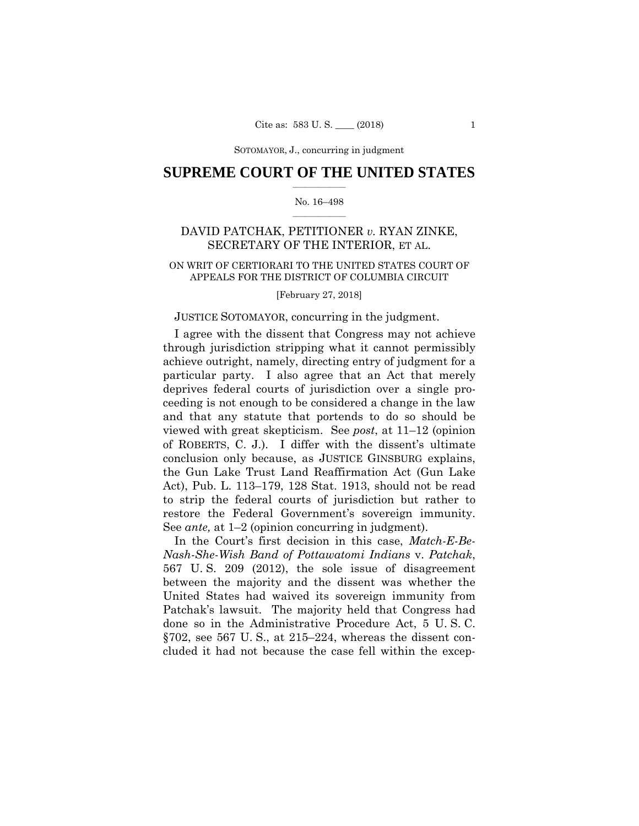SOTOMAYOR, J., concurring SOTOMAYOR, J., concurring in judgment

# $\frac{1}{2}$  ,  $\frac{1}{2}$  ,  $\frac{1}{2}$  ,  $\frac{1}{2}$  ,  $\frac{1}{2}$  ,  $\frac{1}{2}$  ,  $\frac{1}{2}$ **SUPREME COURT OF THE UNITED STATES**

# $\frac{1}{2}$  ,  $\frac{1}{2}$  ,  $\frac{1}{2}$  ,  $\frac{1}{2}$  ,  $\frac{1}{2}$  ,  $\frac{1}{2}$ No. 16–498

# DAVID PATCHAK, PETITIONER *v.* RYAN ZINKE, SECRETARY OF THE INTERIOR, ET AL.

# APPEALS FOR THE DISTRICT OF COLUMBIA CIRCUIT<br>[February 27, 2018] ON WRIT OF CERTIORARI TO THE UNITED STATES COURT OF

# JUSTICE SOTOMAYOR, concurring in the judgment.

 of ROBERTS, C. J.). I differ with the dissent's ultimate I agree with the dissent that Congress may not achieve through jurisdiction stripping what it cannot permissibly achieve outright, namely, directing entry of judgment for a particular party. I also agree that an Act that merely deprives federal courts of jurisdiction over a single proceeding is not enough to be considered a change in the law and that any statute that portends to do so should be viewed with great skepticism. See *post*, at 11–12 (opinion conclusion only because, as JUSTICE GINSBURG explains, the Gun Lake Trust Land Reaffirmation Act (Gun Lake Act), Pub. L. 113–179, 128 Stat. 1913, should not be read to strip the federal courts of jurisdiction but rather to restore the Federal Government's sovereign immunity. See *ante,* at 1–2 (opinion concurring in judgment).

In the Court's first decision in this case, *Match-E-Be-Nash-She-Wish Band of Pottawatomi Indians* v. *Patchak*, 567 U. S. 209 (2012), the sole issue of disagreement between the majority and the dissent was whether the United States had waived its sovereign immunity from Patchak's lawsuit. The majority held that Congress had done so in the Administrative Procedure Act, 5 U. S. C. §702, see 567 U. S., at 215–224, whereas the dissent concluded it had not because the case fell within the excep-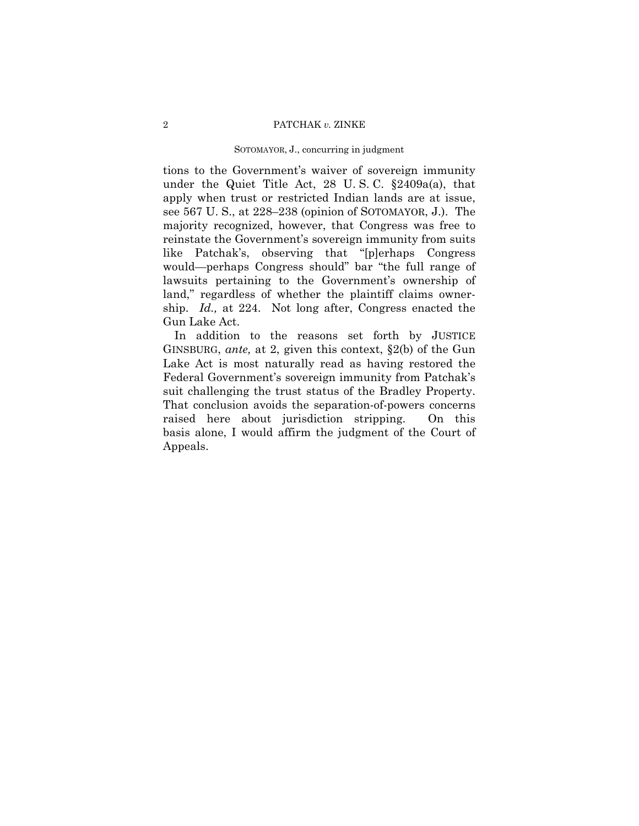# SOTOMAYOR, J., concurring in judgment

tions to the Government's waiver of sovereign immunity under the Quiet Title Act, 28 U. S. C. §2409a(a), that apply when trust or restricted Indian lands are at issue, see 567 U. S., at 228–238 (opinion of SOTOMAYOR, J.). The majority recognized, however, that Congress was free to reinstate the Government's sovereign immunity from suits like Patchak's, observing that "[p]erhaps Congress would—perhaps Congress should" bar "the full range of lawsuits pertaining to the Government's ownership of land," regardless of whether the plaintiff claims ownership. *Id.,* at 224. Not long after, Congress enacted the Gun Lake Act.

 suit challenging the trust status of the Bradley Property. In addition to the reasons set forth by JUSTICE GINSBURG, *ante,* at 2, given this context, §2(b) of the Gun Lake Act is most naturally read as having restored the Federal Government's sovereign immunity from Patchak's That conclusion avoids the separation-of-powers concerns raised here about jurisdiction stripping. On this basis alone, I would affirm the judgment of the Court of Appeals.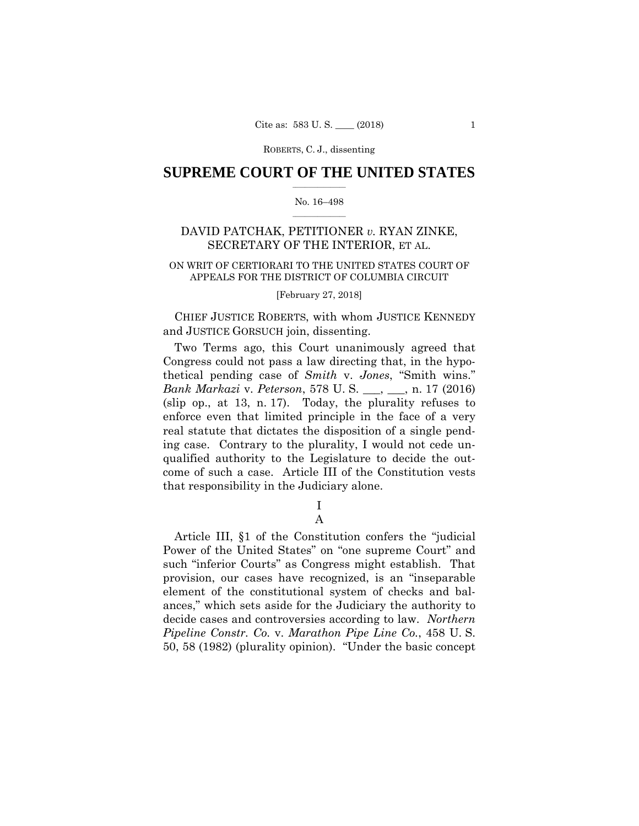# $\frac{1}{2}$  ,  $\frac{1}{2}$  ,  $\frac{1}{2}$  ,  $\frac{1}{2}$  ,  $\frac{1}{2}$  ,  $\frac{1}{2}$  ,  $\frac{1}{2}$ **SUPREME COURT OF THE UNITED STATES**

# $\frac{1}{2}$  ,  $\frac{1}{2}$  ,  $\frac{1}{2}$  ,  $\frac{1}{2}$  ,  $\frac{1}{2}$  ,  $\frac{1}{2}$ No. 16–498

# DAVID PATCHAK, PETITIONER *v.* RYAN ZINKE, SECRETARY OF THE INTERIOR, ET AL.

# APPEALS FOR THE DISTRICT OF COLUMBIA CIRCUIT<br>[February 27, 2018] ON WRIT OF CERTIORARI TO THE UNITED STATES COURT OF

 CHIEF JUSTICE ROBERTS, with whom JUSTICE KENNEDY and JUSTICE GORSUCH join, dissenting.

Two Terms ago, this Court unanimously agreed that Congress could not pass a law directing that, in the hypothetical pending case of *Smith* v. *Jones*, "Smith wins." *Bank Markazi* v. *Peterson*, 578 U. S. \_\_\_, \_\_\_, n. 17 (2016) (slip op., at 13, n. 17). Today, the plurality refuses to enforce even that limited principle in the face of a very real statute that dictates the disposition of a single pending case. Contrary to the plurality, I would not cede unqualified authority to the Legislature to decide the outcome of such a case. Article III of the Constitution vests that responsibility in the Judiciary alone.

> I A

Article III, §1 of the Constitution confers the "judicial Power of the United States" on "one supreme Court" and such "inferior Courts" as Congress might establish. That provision, our cases have recognized, is an "inseparable element of the constitutional system of checks and balances," which sets aside for the Judiciary the authority to decide cases and controversies according to law. *Northern Pipeline Constr. Co.* v. *Marathon Pipe Line Co.*, 458 U. S. 50, 58 (1982) (plurality opinion). "Under the basic concept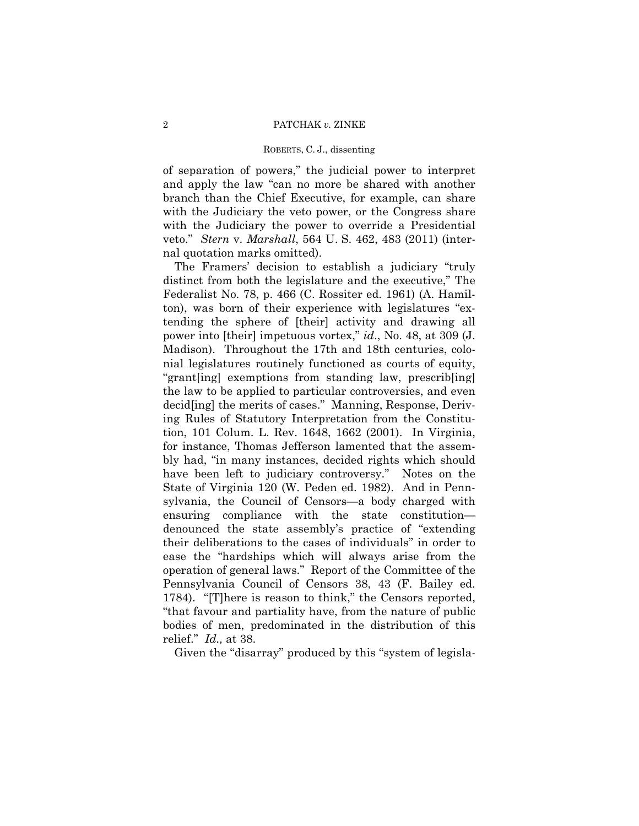of separation of powers," the judicial power to interpret and apply the law "can no more be shared with another branch than the Chief Executive, for example, can share with the Judiciary the veto power, or the Congress share with the Judiciary the power to override a Presidential veto." *Stern* v. *Marshall*, 564 U. S. 462, 483 (2011) (internal quotation marks omitted).

The Framers' decision to establish a judiciary "truly distinct from both the legislature and the executive," The Federalist No. 78, p. 466 (C. Rossiter ed. 1961) (A. Hamilton), was born of their experience with legislatures "extending the sphere of [their] activity and drawing all power into [their] impetuous vortex," *id*., No. 48, at 309 (J. Madison). Throughout the 17th and 18th centuries, colonial legislatures routinely functioned as courts of equity, "grant[ing] exemptions from standing law, prescrib[ing] the law to be applied to particular controversies, and even decid[ing] the merits of cases." Manning, Response, Deriving Rules of Statutory Interpretation from the Constitution, 101 Colum. L. Rev. 1648, 1662 (2001). In Virginia, for instance, Thomas Jefferson lamented that the assembly had, "in many instances, decided rights which should have been left to judiciary controversy." Notes on the State of Virginia 120 (W. Peden ed. 1982). And in Pennsylvania, the Council of Censors—a body charged with ensuring compliance with the state constitution denounced the state assembly's practice of "extending their deliberations to the cases of individuals" in order to ease the "hardships which will always arise from the operation of general laws." Report of the Committee of the Pennsylvania Council of Censors 38, 43 (F. Bailey ed. 1784). "[T]here is reason to think," the Censors reported, "that favour and partiality have, from the nature of public bodies of men, predominated in the distribution of this relief." *Id.,* at 38.

Given the "disarray" produced by this "system of legisla-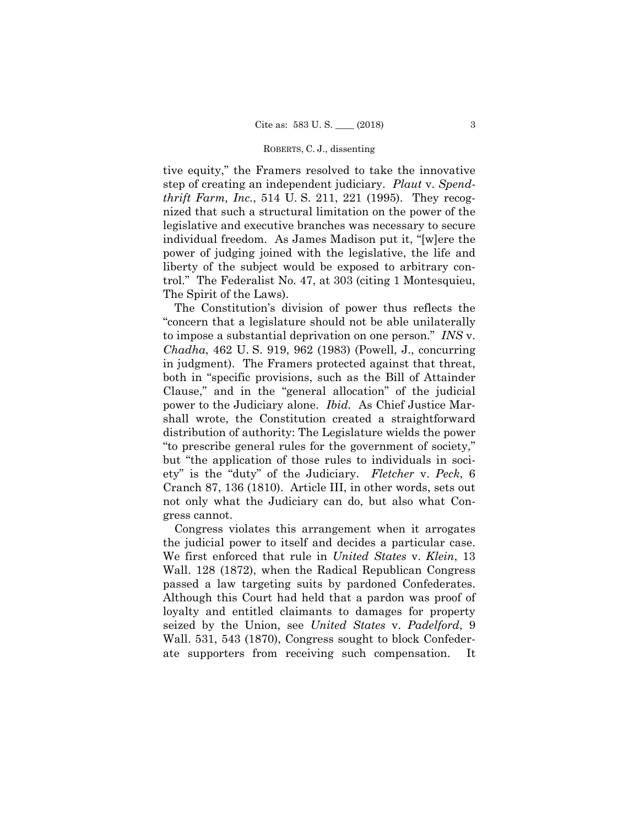tive equity," the Framers resolved to take the innovative step of creating an independent judiciary. *Plaut* v. *Spendthrift Farm, Inc.*, 514 U. S. 211, 221 (1995). They recognized that such a structural limitation on the power of the legislative and executive branches was necessary to secure individual freedom. As James Madison put it, "[w]ere the power of judging joined with the legislative, the life and liberty of the subject would be exposed to arbitrary control." The Federalist No. 47, at 303 (citing 1 Montesquieu, The Spirit of the Laws).

The Constitution's division of power thus reflects the "concern that a legislature should not be able unilaterally to impose a substantial deprivation on one person." *INS* v. *Chadha*, 462 U. S. 919, 962 (1983) (Powell, J., concurring in judgment). The Framers protected against that threat, both in "specific provisions, such as the Bill of Attainder Clause," and in the "general allocation" of the judicial power to the Judiciary alone. *Ibid.* As Chief Justice Marshall wrote, the Constitution created a straightforward distribution of authority: The Legislature wields the power "to prescribe general rules for the government of society," but "the application of those rules to individuals in society" is the "duty" of the Judiciary. *Fletcher* v. *Peck*, 6 Cranch 87, 136 (1810). Article III, in other words, sets out not only what the Judiciary can do, but also what Congress cannot.

Congress violates this arrangement when it arrogates the judicial power to itself and decides a particular case. We first enforced that rule in *United States* v. *Klein*, 13 Wall. 128 (1872), when the Radical Republican Congress passed a law targeting suits by pardoned Confederates. Although this Court had held that a pardon was proof of loyalty and entitled claimants to damages for property seized by the Union, see *United States* v. *Padelford*, 9 Wall. 531, 543 (1870), Congress sought to block Confederate supporters from receiving such compensation. It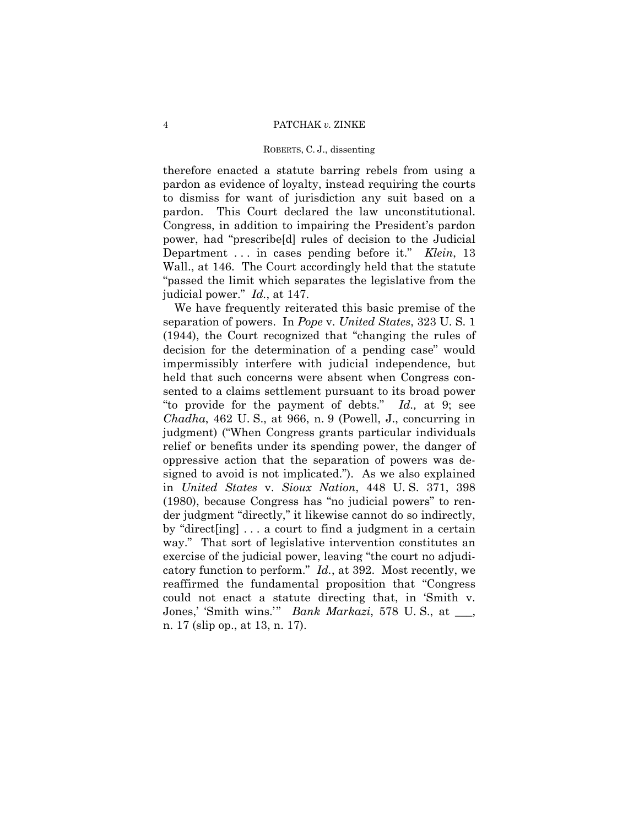Department . . . in cases pending before it." *Klein*, 13 therefore enacted a statute barring rebels from using a pardon as evidence of loyalty, instead requiring the courts to dismiss for want of jurisdiction any suit based on a pardon. This Court declared the law unconstitutional. Congress, in addition to impairing the President's pardon power, had "prescribe[d] rules of decision to the Judicial Wall., at 146. The Court accordingly held that the statute "passed the limit which separates the legislative from the judicial power." *Id.*, at 147.

We have frequently reiterated this basic premise of the separation of powers. In *Pope* v. *United States*, 323 U. S. 1 (1944), the Court recognized that "changing the rules of decision for the determination of a pending case" would impermissibly interfere with judicial independence, but held that such concerns were absent when Congress consented to a claims settlement pursuant to its broad power "to provide for the payment of debts." *Id.,* at 9; see *Chadha*, 462 U. S., at 966, n. 9 (Powell, J., concurring in judgment) ("When Congress grants particular individuals relief or benefits under its spending power, the danger of oppressive action that the separation of powers was designed to avoid is not implicated."). As we also explained in *United States* v. *Sioux Nation*, 448 U. S. 371, 398 (1980), because Congress has "no judicial powers" to render judgment "directly," it likewise cannot do so indirectly, by "direct[ing] . . . a court to find a judgment in a certain way." That sort of legislative intervention constitutes an exercise of the judicial power, leaving "the court no adjudicatory function to perform." *Id.*, at 392. Most recently, we reaffirmed the fundamental proposition that "Congress could not enact a statute directing that, in 'Smith v. Jones,' 'Smith wins.'" *Bank Markazi*, 578 U. S., at \_\_\_, n. 17 (slip op., at 13, n. 17).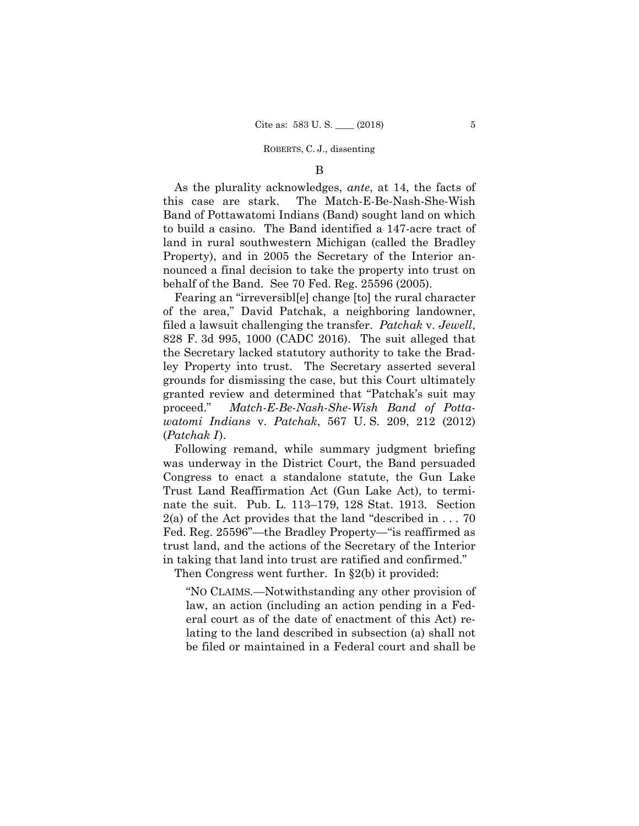# B

As the plurality acknowledges, *ante*, at 14, the facts of this case are stark. The Match-E-Be-Nash-She-Wish Band of Pottawatomi Indians (Band) sought land on which to build a casino. The Band identified a 147-acre tract of land in rural southwestern Michigan (called the Bradley Property), and in 2005 the Secretary of the Interior announced a final decision to take the property into trust on behalf of the Band. See 70 Fed. Reg. 25596 (2005).

Fearing an "irreversibl[e] change [to] the rural character of the area," David Patchak, a neighboring landowner, filed a lawsuit challenging the transfer. *Patchak* v. *Jewell*, 828 F. 3d 995, 1000 (CADC 2016). The suit alleged that the Secretary lacked statutory authority to take the Bradley Property into trust. The Secretary asserted several grounds for dismissing the case, but this Court ultimately granted review and determined that "Patchak's suit may proceed." *Match-E-Be-Nash-She-Wish Band of Pottawatomi Indians* v. *Patchak*, 567 U. S. 209, 212 (2012)  $(Patchak I).$ 

Following remand, while summary judgment briefing was underway in the District Court, the Band persuaded Congress to enact a standalone statute, the Gun Lake Trust Land Reaffirmation Act (Gun Lake Act), to terminate the suit. Pub. L. 113–179, 128 Stat. 1913. Section  $2(a)$  of the Act provides that the land "described in ... 70 Fed. Reg. 25596"—the Bradley Property—"is reaffirmed as trust land, and the actions of the Secretary of the Interior in taking that land into trust are ratified and confirmed."

Then Congress went further. In §2(b) it provided:

"NO CLAIMS.—Notwithstanding any other provision of law, an action (including an action pending in a Federal court as of the date of enactment of this Act) relating to the land described in subsection (a) shall not be filed or maintained in a Federal court and shall be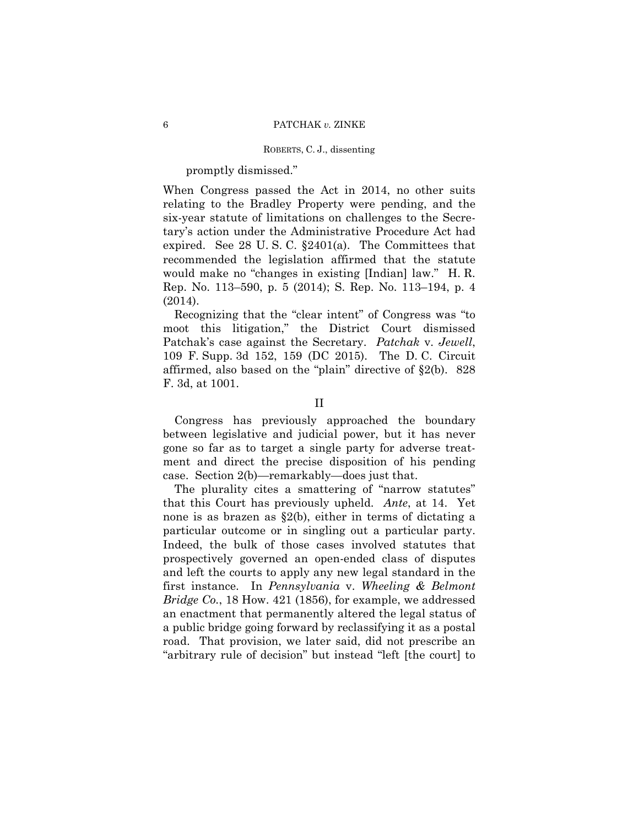# promptly dismissed."

When Congress passed the Act in 2014, no other suits relating to the Bradley Property were pending, and the six-year statute of limitations on challenges to the Secretary's action under the Administrative Procedure Act had expired. See 28 U.S.C.  $\S 2401(a)$ . The Committees that recommended the legislation affirmed that the statute would make no "changes in existing [Indian] law." H. R. Rep. No. 113–590, p. 5 (2014); S. Rep. No. 113–194, p. 4 (2014).

Recognizing that the "clear intent" of Congress was "to moot this litigation," the District Court dismissed Patchak's case against the Secretary. *Patchak* v. *Jewell*, 109 F. Supp. 3d 152, 159 (DC 2015). The D. C. Circuit affirmed, also based on the "plain" directive of §2(b). 828 F. 3d, at 1001.

Congress has previously approached the boundary between legislative and judicial power, but it has never gone so far as to target a single party for adverse treatment and direct the precise disposition of his pending case. Section 2(b)—remarkably—does just that.

The plurality cites a smattering of "narrow statutes" that this Court has previously upheld. *Ante*, at 14. Yet none is as brazen as §2(b), either in terms of dictating a particular outcome or in singling out a particular party. Indeed, the bulk of those cases involved statutes that prospectively governed an open-ended class of disputes and left the courts to apply any new legal standard in the first instance. In *Pennsylvania* v. *Wheeling & Belmont Bridge Co.*, 18 How. 421 (1856), for example, we addressed an enactment that permanently altered the legal status of a public bridge going forward by reclassifying it as a postal road. That provision, we later said, did not prescribe an "arbitrary rule of decision" but instead "left [the court] to

II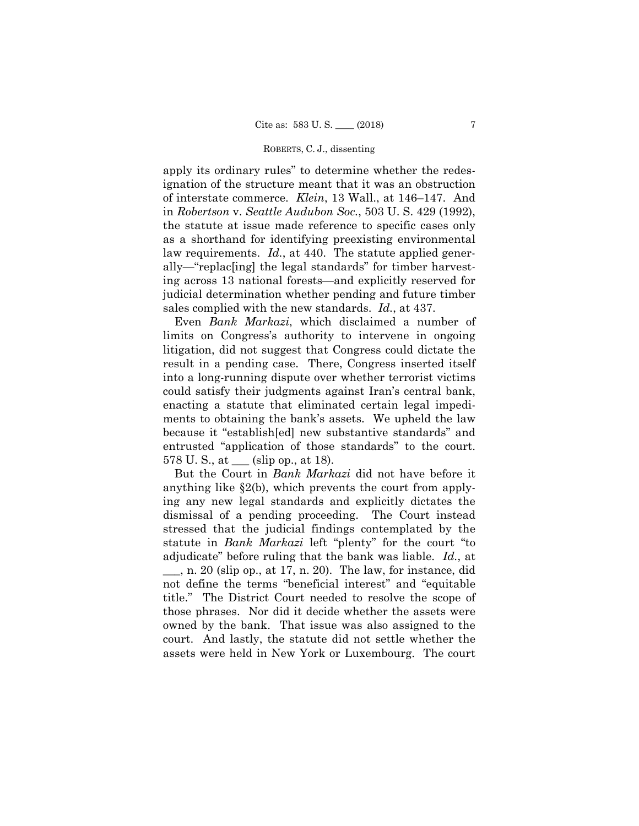apply its ordinary rules" to determine whether the redesignation of the structure meant that it was an obstruction of interstate commerce. *Klein*, 13 Wall., at 146–147. And in *Robertson* v. *Seattle Audubon Soc.*, 503 U. S. 429 (1992), the statute at issue made reference to specific cases only as a shorthand for identifying preexisting environmental law requirements. *Id.*, at 440. The statute applied generally—"replac[ing] the legal standards" for timber harvesting across 13 national forests—and explicitly reserved for judicial determination whether pending and future timber sales complied with the new standards. *Id.*, at 437.

Even *Bank Markazi*, which disclaimed a number of limits on Congress's authority to intervene in ongoing litigation, did not suggest that Congress could dictate the result in a pending case. There, Congress inserted itself into a long-running dispute over whether terrorist victims could satisfy their judgments against Iran's central bank, enacting a statute that eliminated certain legal impediments to obtaining the bank's assets. We upheld the law because it "establish[ed] new substantive standards" and entrusted "application of those standards" to the court. 578 U. S., at \_\_\_ (slip op., at 18).

But the Court in *Bank Markazi* did not have before it anything like §2(b), which prevents the court from applying any new legal standards and explicitly dictates the dismissal of a pending proceeding. The Court instead stressed that the judicial findings contemplated by the statute in *Bank Markazi* left "plenty" for the court "to adjudicate" before ruling that the bank was liable. *Id.*, at  $\_\_\_\_\$ n. 20 (slip op., at 17, n. 20). The law, for instance, did not define the terms "beneficial interest" and "equitable title." The District Court needed to resolve the scope of those phrases. Nor did it decide whether the assets were owned by the bank. That issue was also assigned to the court. And lastly, the statute did not settle whether the assets were held in New York or Luxembourg. The court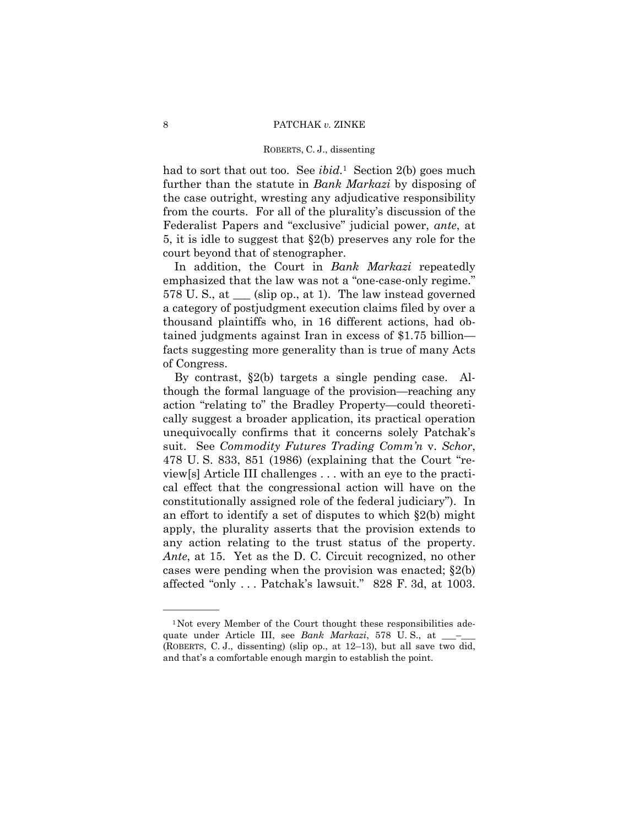had to sort that out too. See *ibid.*1 Section 2(b) goes much further than the statute in *Bank Markazi* by disposing of the case outright, wresting any adjudicative responsibility from the courts. For all of the plurality's discussion of the Federalist Papers and "exclusive" judicial power, *ante*, at 5, it is idle to suggest that §2(b) preserves any role for the court beyond that of stenographer.

In addition, the Court in *Bank Markazi* repeatedly emphasized that the law was not a "one-case-only regime." 578 U. S., at \_\_\_ (slip op., at 1). The law instead governed a category of postjudgment execution claims filed by over a thousand plaintiffs who, in 16 different actions, had obtained judgments against Iran in excess of \$1.75 billion facts suggesting more generality than is true of many Acts of Congress.

By contrast, §2(b) targets a single pending case. Although the formal language of the provision—reaching any action "relating to" the Bradley Property—could theoretically suggest a broader application, its practical operation unequivocally confirms that it concerns solely Patchak's suit. See *Commodity Futures Trading Comm'n* v. *Schor*, 478 U. S. 833, 851 (1986) (explaining that the Court "review[s] Article III challenges . . . with an eye to the practical effect that the congressional action will have on the constitutionally assigned role of the federal judiciary"). In an effort to identify a set of disputes to which §2(b) might apply, the plurality asserts that the provision extends to any action relating to the trust status of the property. *Ante*, at 15. Yet as the D. C. Circuit recognized, no other cases were pending when the provision was enacted; §2(b) affected "only ... Patchak's lawsuit." 828 F. 3d, at 1003.

<sup>&</sup>lt;sup>1</sup>Not every Member of the Court thought these responsibilities adequate under Article III, see *Bank Markazi*, 578 U.S., at \_\_\_ (ROBERTS, C. J., dissenting) (slip op., at 12–13), but all save two did, and that's a comfortable enough margin to establish the point.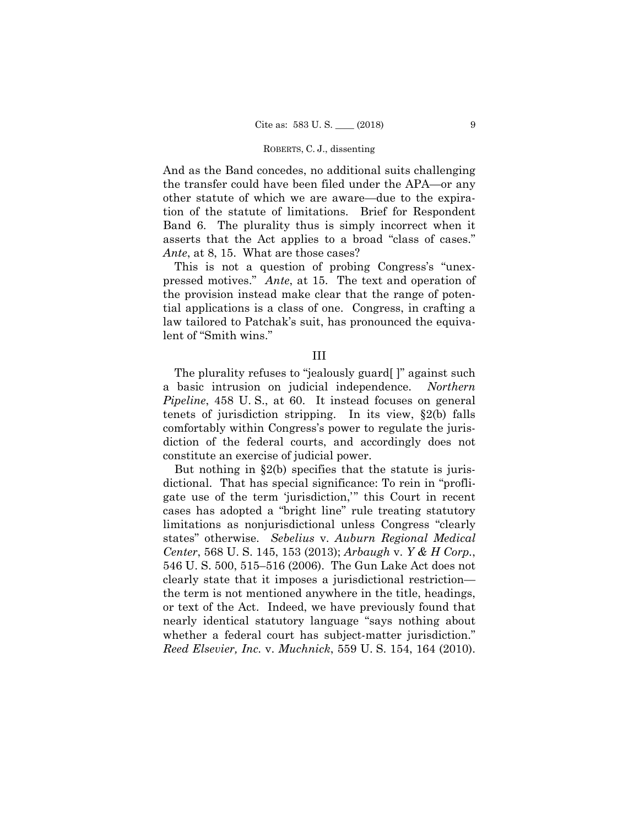And as the Band concedes, no additional suits challenging the transfer could have been filed under the APA—or any other statute of which we are aware—due to the expiration of the statute of limitations. Brief for Respondent Band 6. The plurality thus is simply incorrect when it asserts that the Act applies to a broad "class of cases." *Ante*, at 8, 15. What are those cases?

This is not a question of probing Congress's "unexpressed motives." *Ante*, at 15. The text and operation of the provision instead make clear that the range of potential applications is a class of one. Congress, in crafting a law tailored to Patchak's suit, has pronounced the equivalent of "Smith wins."

III

The plurality refuses to "jealously guard[ ]" against such a basic intrusion on judicial independence. *Northern Pipeline*, 458 U.S., at 60. It instead focuses on general tenets of jurisdiction stripping. In its view, §2(b) falls comfortably within Congress's power to regulate the jurisdiction of the federal courts, and accordingly does not constitute an exercise of judicial power.

But nothing in  $\S2(b)$  specifies that the statute is jurisdictional. That has special significance: To rein in "profligate use of the term 'jurisdiction,'" this Court in recent cases has adopted a "bright line" rule treating statutory limitations as nonjurisdictional unless Congress "clearly states" otherwise. *Sebelius* v. *Auburn Regional Medical Center*, 568 U. S. 145, 153 (2013); *Arbaugh* v. *Y & H Corp.*, 546 U. S. 500, 515–516 (2006). The Gun Lake Act does not clearly state that it imposes a jurisdictional restriction the term is not mentioned anywhere in the title, headings, or text of the Act. Indeed, we have previously found that nearly identical statutory language "says nothing about whether a federal court has subject-matter jurisdiction." *Reed Elsevier, Inc.* v. *Muchnick*, 559 U. S. 154, 164 (2010).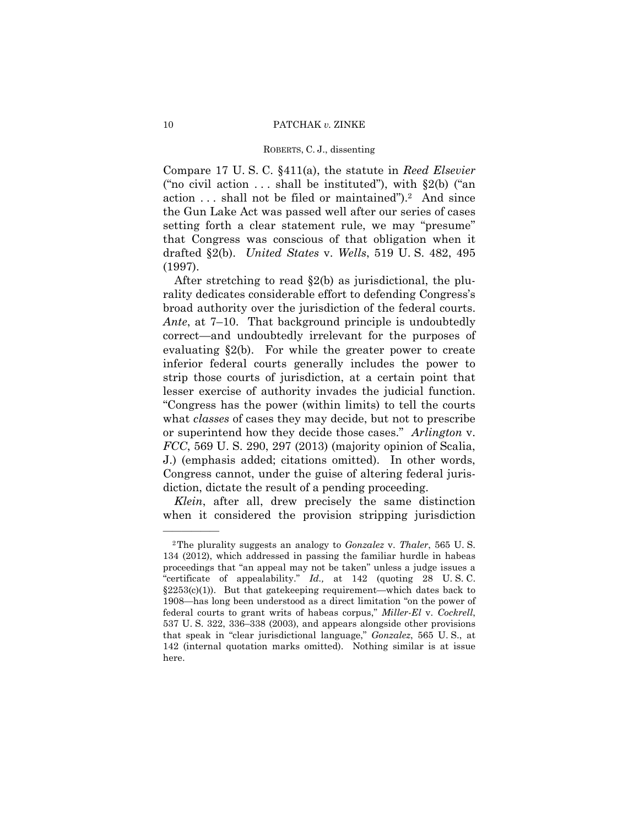Compare 17 U. S. C. §411(a), the statute in *Reed Elsevier*  ("no civil action  $\dots$  shall be instituted"), with §2(b) ("an action . . . shall not be filed or maintained").2 And since the Gun Lake Act was passed well after our series of cases setting forth a clear statement rule, we may "presume" that Congress was conscious of that obligation when it drafted §2(b). *United States* v. *Wells*, 519 U. S. 482, 495 (1997).

After stretching to read §2(b) as jurisdictional, the plurality dedicates considerable effort to defending Congress's broad authority over the jurisdiction of the federal courts. *Ante*, at 7–10. That background principle is undoubtedly correct—and undoubtedly irrelevant for the purposes of evaluating  $\S2(b)$ . For while the greater power to create inferior federal courts generally includes the power to strip those courts of jurisdiction, at a certain point that lesser exercise of authority invades the judicial function. "Congress has the power (within limits) to tell the courts what *classes* of cases they may decide, but not to prescribe or superintend how they decide those cases." *Arlington* v. *FCC*, 569 U. S. 290, 297 (2013) (majority opinion of Scalia, J.) (emphasis added; citations omitted). In other words, Congress cannot, under the guise of altering federal jurisdiction, dictate the result of a pending proceeding.

*Klein*, after all, drew precisely the same distinction when it considered the provision stripping jurisdiction

 2The plurality suggests an analogy to *Gonzalez* v. *Thaler*, 565 U. S. 134 (2012), which addressed in passing the familiar hurdle in habeas proceedings that "an appeal may not be taken" unless a judge issues a "certificate of appealability." *Id.,* at 142 (quoting 28 U. S. C. §2253(c)(1)). But that gatekeeping requirement—which dates back to 1908—has long been understood as a direct limitation "on the power of federal courts to grant writs of habeas corpus," *Miller-El* v. *Cockrell*, 537 U. S. 322, 336–338 (2003), and appears alongside other provisions that speak in "clear jurisdictional language," *Gonzalez*, 565 U. S., at 142 (internal quotation marks omitted). Nothing similar is at issue here.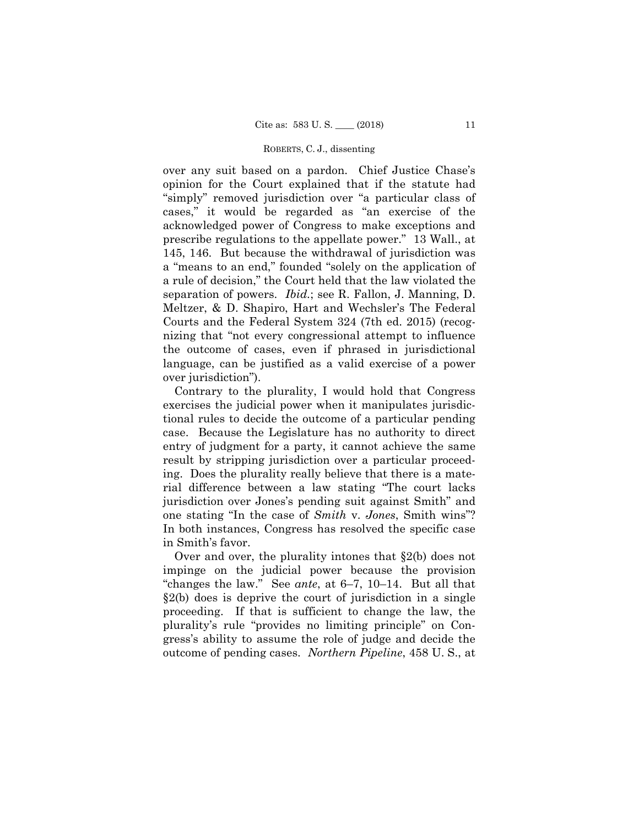over any suit based on a pardon. Chief Justice Chase's opinion for the Court explained that if the statute had "simply" removed jurisdiction over "a particular class of cases," it would be regarded as "an exercise of the acknowledged power of Congress to make exceptions and prescribe regulations to the appellate power." 13 Wall., at 145, 146. But because the withdrawal of jurisdiction was a "means to an end," founded "solely on the application of a rule of decision," the Court held that the law violated the separation of powers. *Ibid.*; see R. Fallon, J. Manning, D. Meltzer, & D. Shapiro, Hart and Wechsler's The Federal Courts and the Federal System 324 (7th ed. 2015) (recognizing that "not every congressional attempt to influence the outcome of cases, even if phrased in jurisdictional language, can be justified as a valid exercise of a power over jurisdiction").

Contrary to the plurality, I would hold that Congress exercises the judicial power when it manipulates jurisdictional rules to decide the outcome of a particular pending case. Because the Legislature has no authority to direct entry of judgment for a party, it cannot achieve the same result by stripping jurisdiction over a particular proceeding. Does the plurality really believe that there is a material difference between a law stating "The court lacks jurisdiction over Jones's pending suit against Smith" and one stating "In the case of *Smith* v. *Jones*, Smith wins"? In both instances, Congress has resolved the specific case in Smith's favor.

Over and over, the plurality intones that §2(b) does not impinge on the judicial power because the provision "changes the law." See *ante*, at 6–7, 10–14. But all that §2(b) does is deprive the court of jurisdiction in a single proceeding. If that is sufficient to change the law, the plurality's rule "provides no limiting principle" on Congress's ability to assume the role of judge and decide the outcome of pending cases. *Northern Pipeline*, 458 U. S., at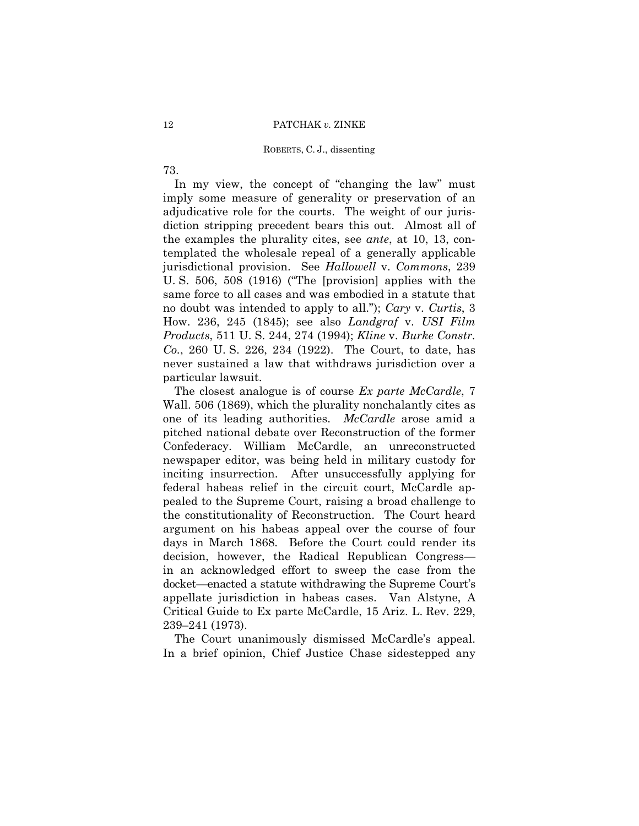# 12 PATCHAK *v.* ZINKE

# ROBERTS, C. J., dissenting

73.

In my view, the concept of "changing the law" must imply some measure of generality or preservation of an adjudicative role for the courts. The weight of our jurisdiction stripping precedent bears this out. Almost all of the examples the plurality cites, see *ante*, at 10, 13, contemplated the wholesale repeal of a generally applicable jurisdictional provision. See *Hallowell* v. *Commons*, 239 U. S. 506, 508 (1916) ("The [provision] applies with the same force to all cases and was embodied in a statute that no doubt was intended to apply to all."); *Cary* v. *Curtis*, 3 How. 236, 245 (1845); see also *Landgraf* v. *USI Film Products*, 511 U. S. 244, 274 (1994); *Kline* v. *Burke Constr. Co.*, 260 U. S. 226, 234 (1922). The Court, to date, has never sustained a law that withdraws jurisdiction over a particular lawsuit.

The closest analogue is of course *Ex parte McCardle*, 7 Wall. 506 (1869), which the plurality nonchalantly cites as one of its leading authorities. *McCardle* arose amid a pitched national debate over Reconstruction of the former Confederacy. William McCardle, an unreconstructed newspaper editor, was being held in military custody for inciting insurrection. After unsuccessfully applying for federal habeas relief in the circuit court, McCardle appealed to the Supreme Court, raising a broad challenge to the constitutionality of Reconstruction. The Court heard argument on his habeas appeal over the course of four days in March 1868. Before the Court could render its decision, however, the Radical Republican Congress in an acknowledged effort to sweep the case from the docket—enacted a statute withdrawing the Supreme Court's appellate jurisdiction in habeas cases. Van Alstyne, A Critical Guide to Ex parte McCardle, 15 Ariz. L. Rev. 229, 239–241 (1973).

The Court unanimously dismissed McCardle's appeal. In a brief opinion, Chief Justice Chase sidestepped any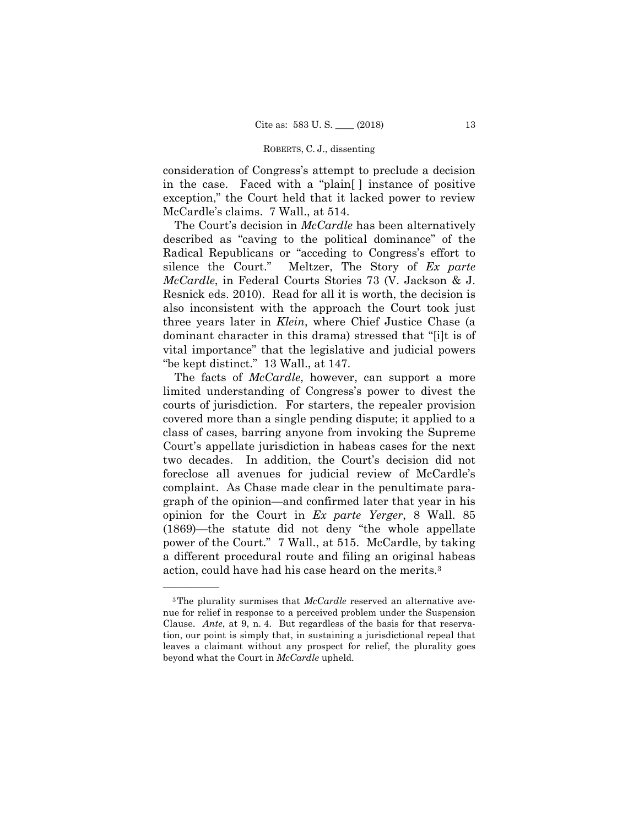consideration of Congress's attempt to preclude a decision in the case. Faced with a "plain[ ] instance of positive exception," the Court held that it lacked power to review McCardle's claims. 7 Wall., at 514.

The Court's decision in *McCardle* has been alternatively described as "caving to the political dominance" of the Radical Republicans or "acceding to Congress's effort to silence the Court." Meltzer, The Story of *Ex parte McCardle*, in Federal Courts Stories 73 (V. Jackson & J. Resnick eds. 2010). Read for all it is worth, the decision is also inconsistent with the approach the Court took just three years later in *Klein*, where Chief Justice Chase (a dominant character in this drama) stressed that "[i]t is of vital importance" that the legislative and judicial powers "be kept distinct." 13 Wall., at 147.

The facts of *McCardle*, however, can support a more limited understanding of Congress's power to divest the courts of jurisdiction. For starters, the repealer provision covered more than a single pending dispute; it applied to a class of cases, barring anyone from invoking the Supreme Court's appellate jurisdiction in habeas cases for the next two decades. In addition, the Court's decision did not foreclose all avenues for judicial review of McCardle's complaint. As Chase made clear in the penultimate paragraph of the opinion—and confirmed later that year in his opinion for the Court in *Ex parte Yerger*, 8 Wall. 85 (1869)—the statute did not deny "the whole appellate power of the Court." 7 Wall., at 515. McCardle, by taking a different procedural route and filing an original habeas action, could have had his case heard on the merits.3

<sup>3</sup>The plurality surmises that *McCardle* reserved an alternative avenue for relief in response to a perceived problem under the Suspension Clause. *Ante*, at 9, n. 4. But regardless of the basis for that reservation, our point is simply that, in sustaining a jurisdictional repeal that leaves a claimant without any prospect for relief, the plurality goes beyond what the Court in *McCardle* upheld.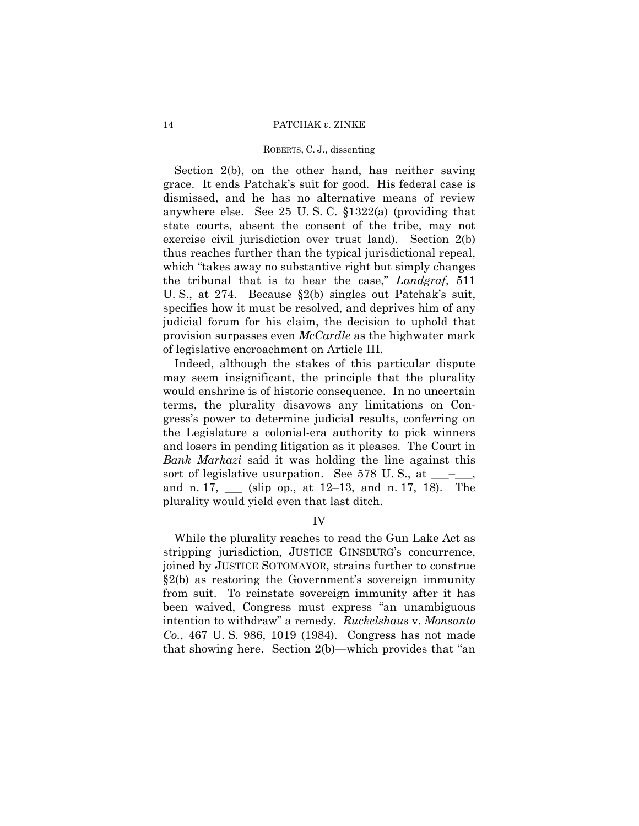Section 2(b), on the other hand, has neither saving grace. It ends Patchak's suit for good. His federal case is dismissed, and he has no alternative means of review anywhere else. See 25 U. S. C. §1322(a) (providing that state courts, absent the consent of the tribe, may not exercise civil jurisdiction over trust land). Section 2(b) thus reaches further than the typical jurisdictional repeal, which "takes away no substantive right but simply changes the tribunal that is to hear the case," *Landgraf*, 511 U. S., at 274. Because §2(b) singles out Patchak's suit, specifies how it must be resolved, and deprives him of any judicial forum for his claim, the decision to uphold that provision surpasses even *McCardle* as the highwater mark of legislative encroachment on Article III.

Indeed, although the stakes of this particular dispute may seem insignificant, the principle that the plurality would enshrine is of historic consequence. In no uncertain terms, the plurality disavows any limitations on Congress's power to determine judicial results, conferring on the Legislature a colonial-era authority to pick winners and losers in pending litigation as it pleases. The Court in *Bank Markazi* said it was holding the line against this sort of legislative usurpation. See 578 U.S., at and n. 17, \_\_\_ (slip op., at 12–13, and n. 17, 18). The plurality would yield even that last ditch.

IV

While the plurality reaches to read the Gun Lake Act as stripping jurisdiction, JUSTICE GINSBURG's concurrence, joined by JUSTICE SOTOMAYOR, strains further to construe §2(b) as restoring the Government's sovereign immunity from suit. To reinstate sovereign immunity after it has been waived, Congress must express "an unambiguous intention to withdraw" a remedy. *Ruckelshaus* v. *Monsanto Co.*, 467 U. S. 986, 1019 (1984). Congress has not made that showing here. Section 2(b)—which provides that "an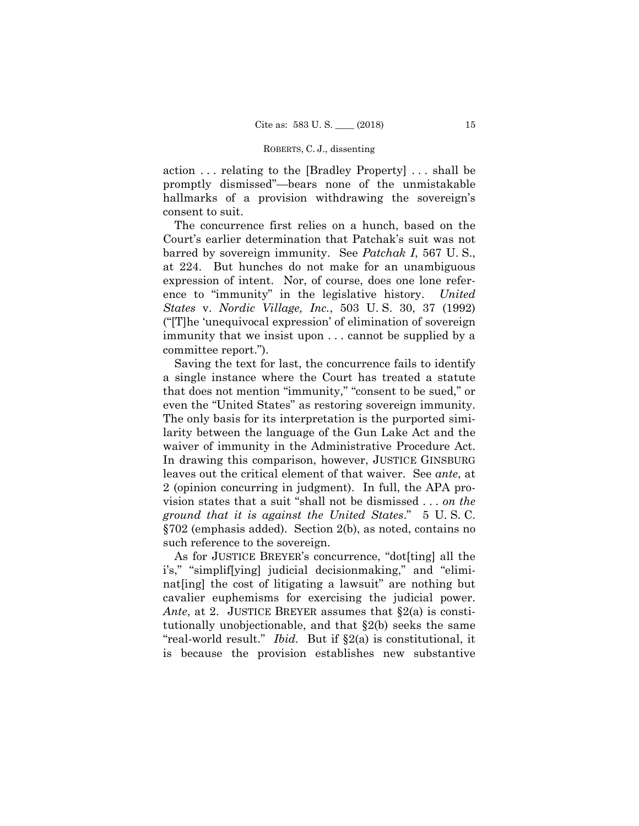action . . . relating to the [Bradley Property] . . . shall be promptly dismissed"—bears none of the unmistakable hallmarks of a provision withdrawing the sovereign's consent to suit.

The concurrence first relies on a hunch, based on the Court's earlier determination that Patchak's suit was not barred by sovereign immunity. See *Patchak I*, 567 U. S., at 224. But hunches do not make for an unambiguous expression of intent. Nor, of course, does one lone reference to "immunity" in the legislative history. *United States* v. *Nordic Village, Inc.*, 503 U. S. 30, 37 (1992) ("[T]he 'unequivocal expression' of elimination of sovereign immunity that we insist upon . . . cannot be supplied by a committee report.").

Saving the text for last, the concurrence fails to identify a single instance where the Court has treated a statute that does not mention "immunity," "consent to be sued," or even the "United States" as restoring sovereign immunity. The only basis for its interpretation is the purported similarity between the language of the Gun Lake Act and the waiver of immunity in the Administrative Procedure Act. In drawing this comparison, however, JUSTICE GINSBURG leaves out the critical element of that waiver. See *ante*, at 2 (opinion concurring in judgment). In full, the APA provision states that a suit "shall not be dismissed . . . *on the ground that it is against the United States*." 5 U. S. C. §702 (emphasis added). Section 2(b), as noted, contains no such reference to the sovereign.

As for JUSTICE BREYER's concurrence, "dot[ting] all the i's," "simplif[ying] judicial decisionmaking," and "eliminat[ing] the cost of litigating a lawsuit" are nothing but cavalier euphemisms for exercising the judicial power. *Ante*, at 2. JUSTICE BREYER assumes that §2(a) is constitutionally unobjectionable, and that §2(b) seeks the same "real-world result." *Ibid.* But if §2(a) is constitutional, it is because the provision establishes new substantive